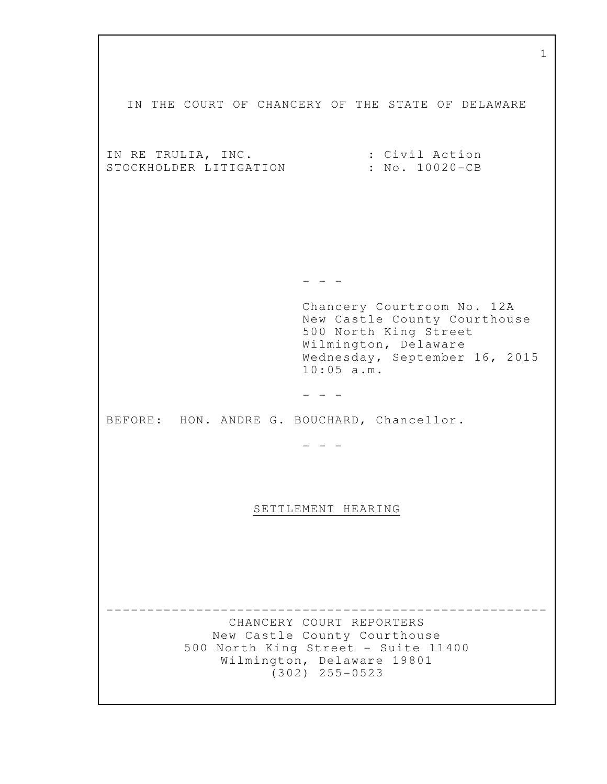| T                                                                                                                                                            |
|--------------------------------------------------------------------------------------------------------------------------------------------------------------|
| IN THE COURT OF CHANCERY OF THE STATE OF DELAWARE                                                                                                            |
| : Civil Action<br>IN RE TRULIA, INC.<br>STOCKHOLDER LITIGATION<br>: No. 10020-CB                                                                             |
|                                                                                                                                                              |
|                                                                                                                                                              |
| Chancery Courtroom No. 12A<br>New Castle County Courthouse<br>500 North King Street<br>Wilmington, Delaware<br>Wednesday, September 16, 2015<br>$10:05$ a.m. |
|                                                                                                                                                              |
| BEFORE: HON. ANDRE G. BOUCHARD, Chancellor.                                                                                                                  |
|                                                                                                                                                              |
| SETTLEMENT HEARING                                                                                                                                           |
|                                                                                                                                                              |
| CHANCERY COURT REPORTERS<br>New Castle County Courthouse<br>500 North King Street - Suite 11400<br>Wilmington, Delaware 19801<br>$(302)$ 255-0523            |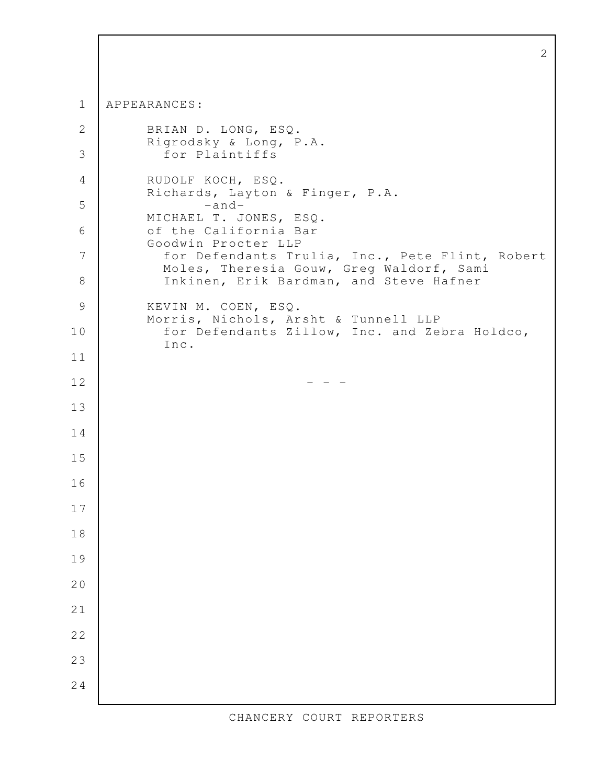|        | 2                                                                                           |
|--------|---------------------------------------------------------------------------------------------|
|        |                                                                                             |
| 1      | APPEARANCES:                                                                                |
| 2      | BRIAN D. LONG, ESQ.                                                                         |
| 3      | Rigrodsky & Long, P.A.<br>for Plaintiffs                                                    |
| 4      | RUDOLF KOCH, ESQ.<br>Richards, Layton & Finger, P.A.                                        |
| 5      | $-and-$<br>MICHAEL T. JONES, ESQ.                                                           |
| 6      | of the California Bar<br>Goodwin Procter LLP                                                |
| 7      | for Defendants Trulia, Inc., Pete Flint, Robert<br>Moles, Theresia Gouw, Greg Waldorf, Sami |
| 8      | Inkinen, Erik Bardman, and Steve Hafner                                                     |
| 9      | KEVIN M. COEN, ESQ.<br>Morris, Nichols, Arsht & Tunnell LLP                                 |
| 10     | for Defendants Zillow, Inc. and Zebra Holdco,<br>Inc.                                       |
| 11     |                                                                                             |
| 12     |                                                                                             |
| 13     |                                                                                             |
| 14     |                                                                                             |
| 15     |                                                                                             |
| 16     |                                                                                             |
| 17     |                                                                                             |
| $1\,8$ |                                                                                             |
| 19     |                                                                                             |
| 20     |                                                                                             |
| 21     |                                                                                             |
| 22     |                                                                                             |
| 23     |                                                                                             |
| 24     |                                                                                             |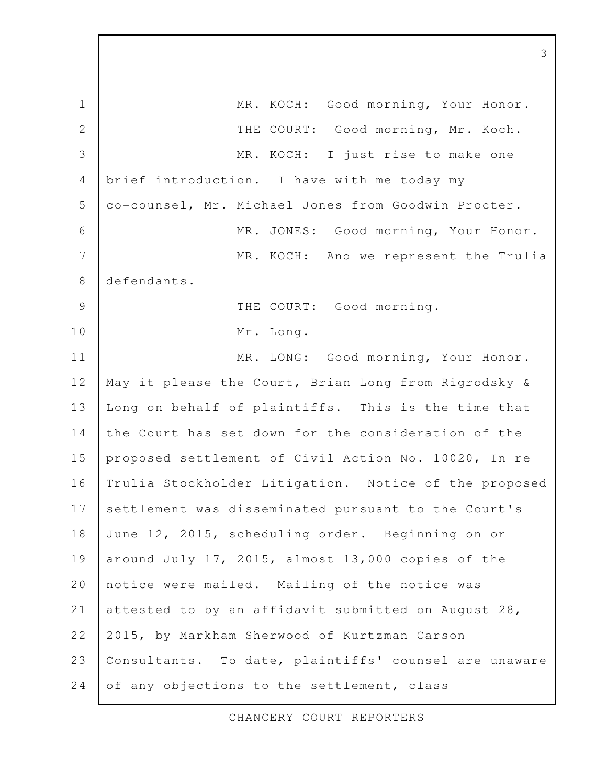MR. KOCH: Good morning, Your Honor. THE COURT: Good morning, Mr. Koch. MR. KOCH: I just rise to make one brief introduction. I have with me today my co-counsel, Mr. Michael Jones from Goodwin Procter. MR. JONES: Good morning, Your Honor. MR. KOCH: And we represent the Trulia defendants. THE COURT: Good morning. Mr. Long. MR. LONG: Good morning, Your Honor. May it please the Court, Brian Long from Rigrodsky & Long on behalf of plaintiffs. This is the time that the Court has set down for the consideration of the proposed settlement of Civil Action No. 10020, In re Trulia Stockholder Litigation. Notice of the proposed settlement was disseminated pursuant to the Court's June 12, 2015, scheduling order. Beginning on or around July 17, 2015, almost 13,000 copies of the notice were mailed. Mailing of the notice was attested to by an affidavit submitted on August 28, 2015, by Markham Sherwood of Kurtzman Carson Consultants. To date, plaintiffs' counsel are unaware of any objections to the settlement, class 1 2 3 4 5 6 7 8 9 10 11 12 13 14 15 16 17 18 19 20 21 22 23 24

3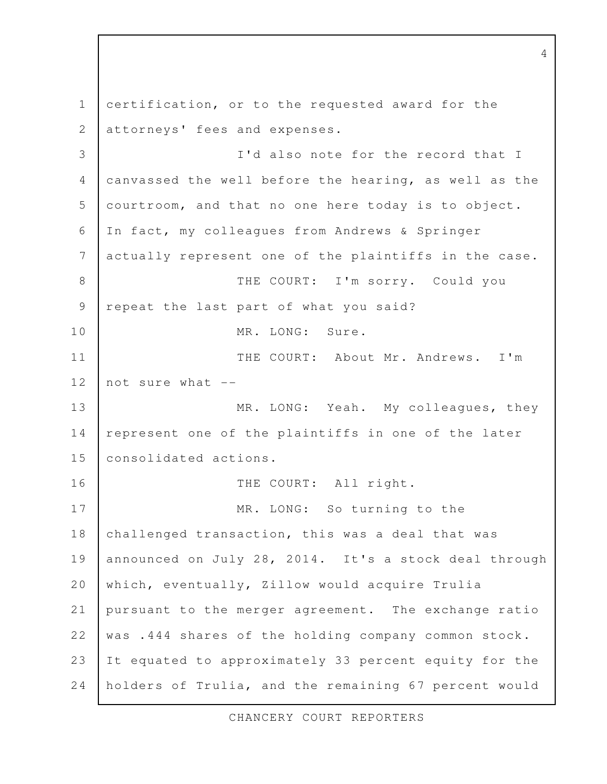certification, or to the requested award for the attorneys' fees and expenses. I'd also note for the record that I canvassed the well before the hearing, as well as the courtroom, and that no one here today is to object. In fact, my colleagues from Andrews & Springer actually represent one of the plaintiffs in the case. THE COURT: I'm sorry. Could you repeat the last part of what you said? MR. LONG: Sure. THE COURT: About Mr. Andrews. I'm not sure what -- MR. LONG: Yeah. My colleagues, they represent one of the plaintiffs in one of the later consolidated actions. THE COURT: All right. MR. LONG: So turning to the challenged transaction, this was a deal that was announced on July 28, 2014. It's a stock deal through which, eventually, Zillow would acquire Trulia pursuant to the merger agreement. The exchange ratio was .444 shares of the holding company common stock. It equated to approximately 33 percent equity for the holders of Trulia, and the remaining 67 percent would 1 2 3 4 5 6 7 8 9 10 11 12 13 14 15 16 17 18 19 20 21 22 23 24

4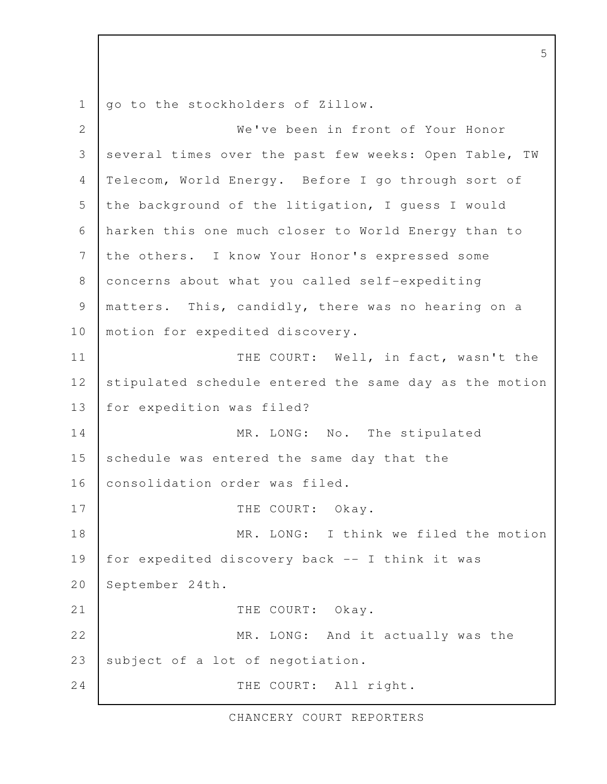go to the stockholders of Zillow. We've been in front of Your Honor several times over the past few weeks: Open Table, TW Telecom, World Energy. Before I go through sort of the background of the litigation, I guess I would harken this one much closer to World Energy than to the others. I know Your Honor's expressed some concerns about what you called self-expediting matters. This, candidly, there was no hearing on a motion for expedited discovery. THE COURT: Well, in fact, wasn't the stipulated schedule entered the same day as the motion for expedition was filed? MR. LONG: No. The stipulated schedule was entered the same day that the consolidation order was filed. THE COURT: Okay. MR. LONG: I think we filed the motion for expedited discovery back -- I think it was September 24th. THE COURT: Okay. MR. LONG: And it actually was the subject of a lot of negotiation. THE COURT: All right. 1 2 3 4 5 6 7 8 9 10 11 12 13 14 15 16 17 18 19 20 21 22 23 24

5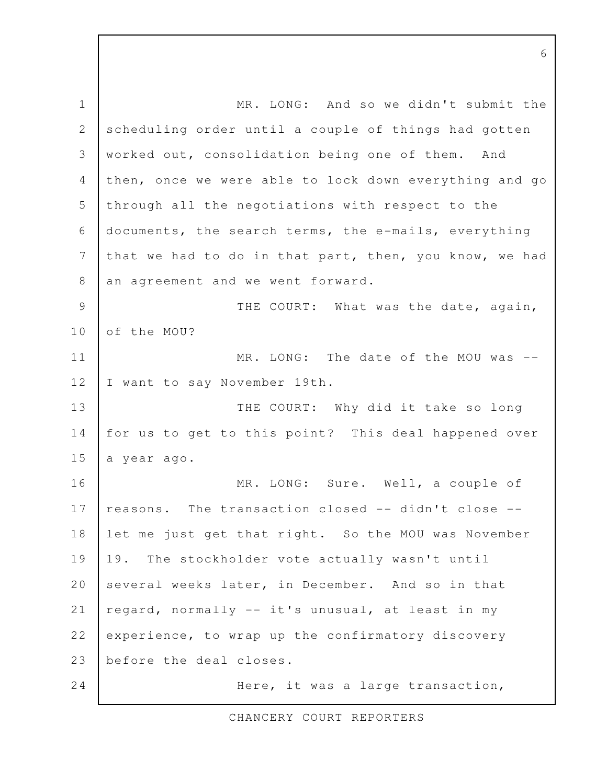MR. LONG: And so we didn't submit the scheduling order until a couple of things had gotten worked out, consolidation being one of them. And then, once we were able to lock down everything and go through all the negotiations with respect to the documents, the search terms, the e-mails, everything that we had to do in that part, then, you know, we had an agreement and we went forward. THE COURT: What was the date, again, of the MOU? MR. LONG: The date of the MOU was --I want to say November 19th. THE COURT: Why did it take so long for us to get to this point? This deal happened over a year ago. MR. LONG: Sure. Well, a couple of reasons. The transaction closed -- didn't close - let me just get that right. So the MOU was November 19. The stockholder vote actually wasn't until several weeks later, in December. And so in that regard, normally -- it's unusual, at least in my experience, to wrap up the confirmatory discovery before the deal closes. Here, it was a large transaction, 1 2 3 4 5 6 7 8 9 10 11 12 13 14 15 16 17 18 19 20 21 22 23 24

CHANCERY COURT REPORTERS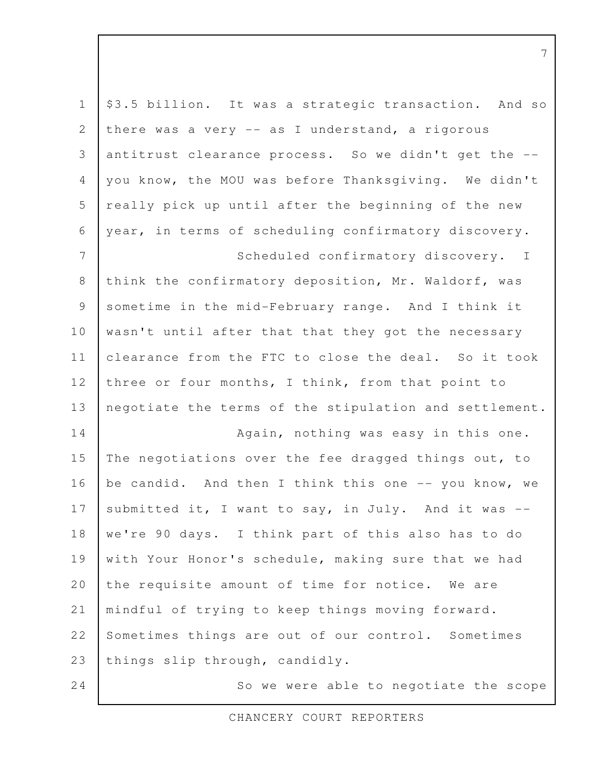| $\mathbf 1$ | \$3.5 billion. It was a strategic transaction. And so  |
|-------------|--------------------------------------------------------|
| 2           | there was a very -- as I understand, a rigorous        |
| 3           | antitrust clearance process. So we didn't get the --   |
| 4           | you know, the MOU was before Thanksgiving. We didn't   |
| 5           | really pick up until after the beginning of the new    |
| 6           | year, in terms of scheduling confirmatory discovery.   |
| 7           | Scheduled confirmatory discovery. I                    |
| 8           | think the confirmatory deposition, Mr. Waldorf, was    |
| 9           | sometime in the mid-February range. And I think it     |
| 10          | wasn't until after that that they got the necessary    |
| 11          | clearance from the FTC to close the deal. So it took   |
| 12          | three or four months, I think, from that point to      |
| 13          | negotiate the terms of the stipulation and settlement. |
| 14          | Again, nothing was easy in this one.                   |
| 15          | The negotiations over the fee dragged things out, to   |
| 16          | be candid. And then I think this one -- you know, we   |
| 17          | submitted it, I want to say, in July. And it was --    |
| 18          | we're 90 days. I think part of this also has to do     |
| 19          | with Your Honor's schedule, making sure that we had    |
| 20          | the requisite amount of time for notice. We are        |
| 21          | mindful of trying to keep things moving forward.       |
| 22          | Sometimes things are out of our control. Sometimes     |
| 23          | things slip through, candidly.                         |
| 24          | So we were able to negotiate the scope                 |

CHANCERY COURT REPORTERS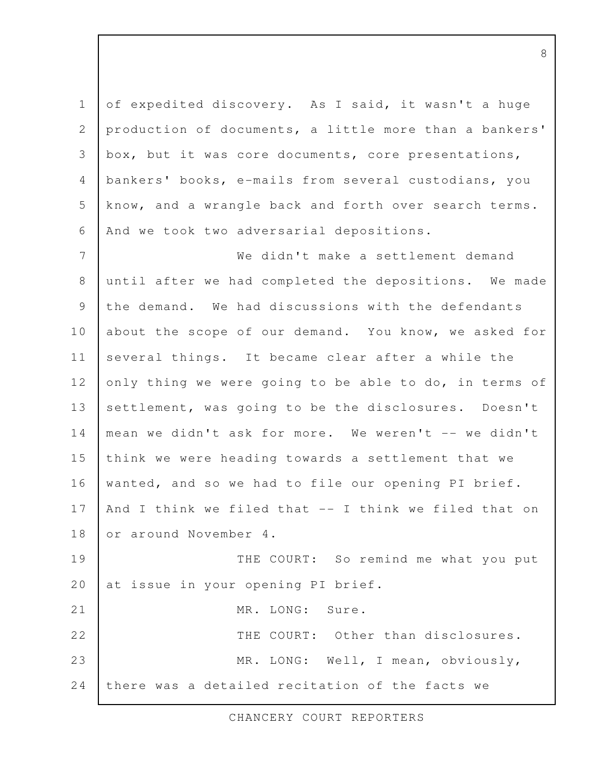of expedited discovery. As I said, it wasn't a huge production of documents, a little more than a bankers' box, but it was core documents, core presentations, bankers' books, e-mails from several custodians, you know, and a wrangle back and forth over search terms. And we took two adversarial depositions. 1 2 3 4 5 6

We didn't make a settlement demand until after we had completed the depositions. We made the demand. We had discussions with the defendants about the scope of our demand. You know, we asked for several things. It became clear after a while the only thing we were going to be able to do, in terms of settlement, was going to be the disclosures. Doesn't mean we didn't ask for more. We weren't -- we didn't think we were heading towards a settlement that we wanted, and so we had to file our opening PI brief. And I think we filed that -- I think we filed that on or around November 4. THE COURT: So remind me what you put at issue in your opening PI brief. MR. LONG: Sure. THE COURT: Other than disclosures. 7 8 9 10 11 12 13 14 15 16 17 18 19 20 21 22

MR. LONG: Well, I mean, obviously, there was a detailed recitation of the facts we 23 24

CHANCERY COURT REPORTERS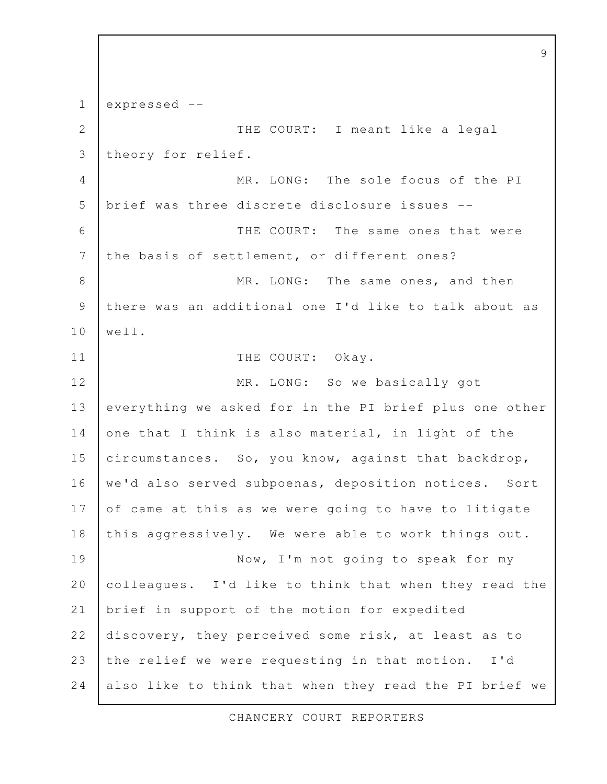expressed -- THE COURT: I meant like a legal theory for relief. MR. LONG: The sole focus of the PI brief was three discrete disclosure issues -- THE COURT: The same ones that were the basis of settlement, or different ones? MR. LONG: The same ones, and then there was an additional one I'd like to talk about as well. THE COURT: Okay. MR. LONG: So we basically got everything we asked for in the PI brief plus one other one that I think is also material, in light of the circumstances. So, you know, against that backdrop, we'd also served subpoenas, deposition notices. Sort of came at this as we were going to have to litigate this aggressively. We were able to work things out. Now, I'm not going to speak for my colleagues. I'd like to think that when they read the brief in support of the motion for expedited discovery, they perceived some risk, at least as to the relief we were requesting in that motion. I'd also like to think that when they read the PI brief we 1 2 3 4 5 6 7 8 9 10 11 12 13 14 15 16 17 18 19 20 21 22 23 24

9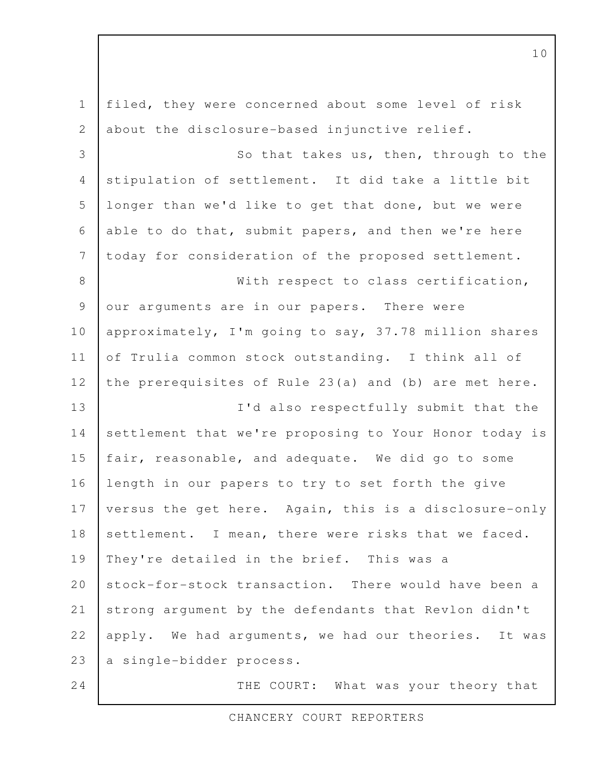filed, they were concerned about some level of risk about the disclosure-based injunctive relief. So that takes us, then, through to the stipulation of settlement. It did take a little bit longer than we'd like to get that done, but we were able to do that, submit papers, and then we're here today for consideration of the proposed settlement. With respect to class certification, our arguments are in our papers. There were approximately, I'm going to say, 37.78 million shares of Trulia common stock outstanding. I think all of the prerequisites of Rule 23(a) and (b) are met here. I'd also respectfully submit that the settlement that we're proposing to Your Honor today is fair, reasonable, and adequate. We did go to some length in our papers to try to set forth the give versus the get here. Again, this is a disclosure-only settlement. I mean, there were risks that we faced. They're detailed in the brief. This was a stock-for-stock transaction. There would have been a strong argument by the defendants that Revlon didn't apply. We had arguments, we had our theories. It was a single-bidder process. THE COURT: What was your theory that 1 2 3 4 5 6 7 8 9 10 11 12 13 14 15 16 17 18 19 20 21 22 23 24

CHANCERY COURT REPORTERS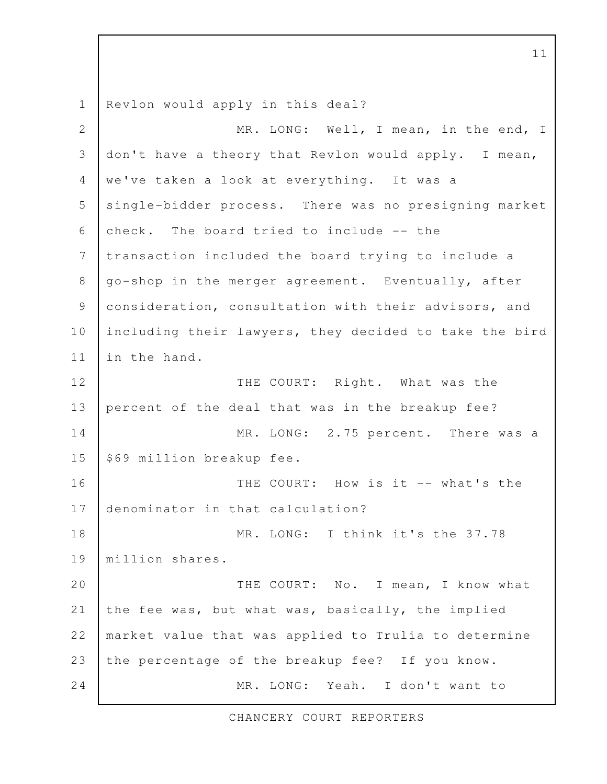Revlon would apply in this deal? MR. LONG: Well, I mean, in the end, I don't have a theory that Revlon would apply. I mean, we've taken a look at everything. It was a single-bidder process. There was no presigning market check. The board tried to include -- the transaction included the board trying to include a go-shop in the merger agreement. Eventually, after consideration, consultation with their advisors, and including their lawyers, they decided to take the bird in the hand. THE COURT: Right. What was the percent of the deal that was in the breakup fee? MR. LONG: 2.75 percent. There was a \$69 million breakup fee. THE COURT: How is it -- what's the denominator in that calculation? MR. LONG: I think it's the 37.78 million shares. THE COURT: No. I mean, I know what the fee was, but what was, basically, the implied market value that was applied to Trulia to determine the percentage of the breakup fee? If you know. MR. LONG: Yeah. I don't want to 1 2 3 4 5 6 7 8 9 10 11 12 13 14 15 16 17 18 19 20 21 22 23 24

CHANCERY COURT REPORTERS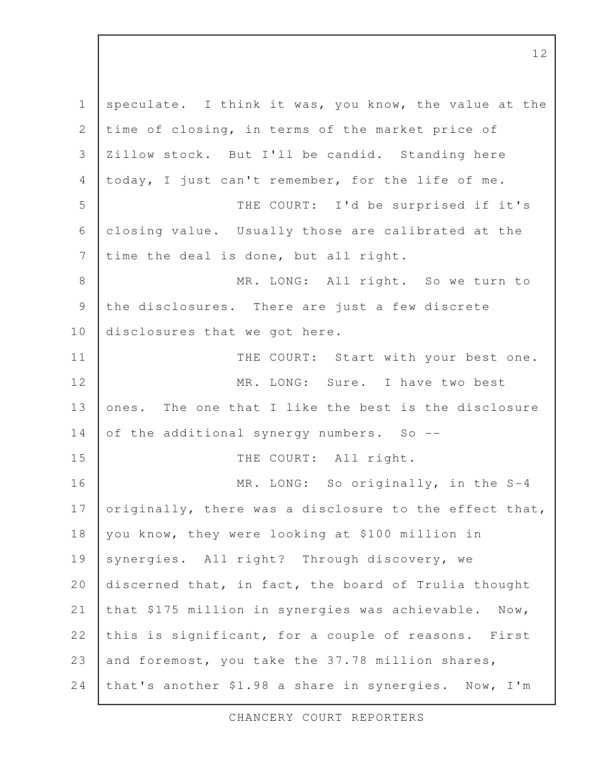speculate. I think it was, you know, the value at the time of closing, in terms of the market price of Zillow stock. But I'll be candid. Standing here today, I just can't remember, for the life of me. THE COURT: I'd be surprised if it's closing value. Usually those are calibrated at the time the deal is done, but all right. MR. LONG: All right. So we turn to the disclosures. There are just a few discrete disclosures that we got here. THE COURT: Start with your best one. MR. LONG: Sure. I have two best ones. The one that I like the best is the disclosure of the additional synergy numbers. So -- THE COURT: All right. MR. LONG: So originally, in the S-4 originally, there was a disclosure to the effect that, you know, they were looking at \$100 million in synergies. All right? Through discovery, we discerned that, in fact, the board of Trulia thought that \$175 million in synergies was achievable. Now, this is significant, for a couple of reasons. First and foremost, you take the 37.78 million shares, that's another \$1.98 a share in synergies. Now, I'm 1 2 3 4 5 6 7 8 9 10 11 12 13 14 15 16 17 18 19 20 21 22 23 24

CHANCERY COURT REPORTERS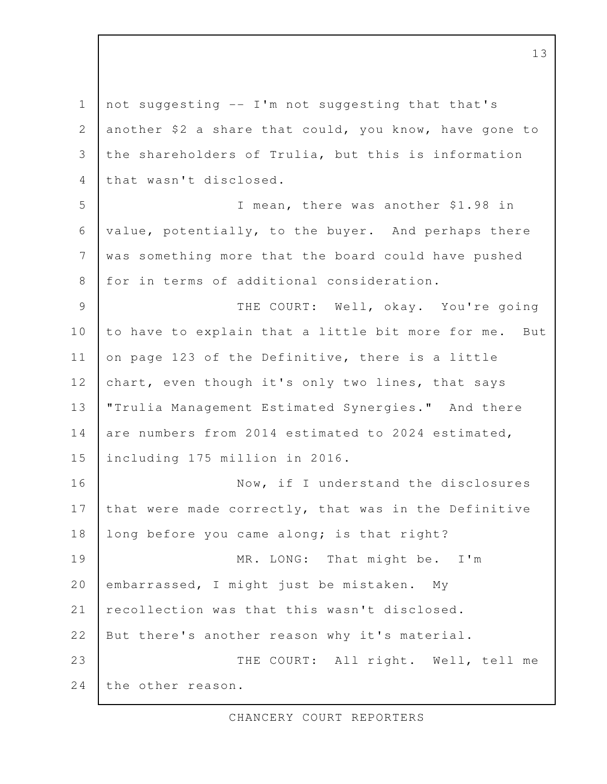not suggesting -- I'm not suggesting that that's another \$2 a share that could, you know, have gone to the shareholders of Trulia, but this is information that wasn't disclosed. I mean, there was another \$1.98 in value, potentially, to the buyer. And perhaps there was something more that the board could have pushed for in terms of additional consideration. THE COURT: Well, okay. You're going to have to explain that a little bit more for me. But on page 123 of the Definitive, there is a little chart, even though it's only two lines, that says "Trulia Management Estimated Synergies." And there are numbers from 2014 estimated to 2024 estimated, including 175 million in 2016. Now, if I understand the disclosures that were made correctly, that was in the Definitive long before you came along; is that right? MR. LONG: That might be. I'm embarrassed, I might just be mistaken. My recollection was that this wasn't disclosed. But there's another reason why it's material. THE COURT: All right. Well, tell me the other reason. 1 2 3 4 5 6 7 8 9 10 11 12 13 14 15 16 17 18 19 20 21 22 23 24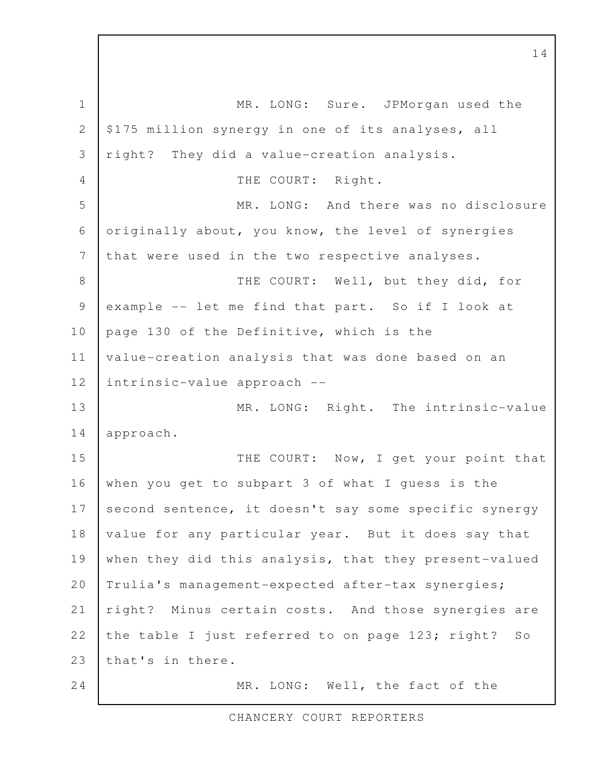MR. LONG: Sure. JPMorgan used the \$175 million synergy in one of its analyses, all right? They did a value-creation analysis. THE COURT: Right. MR. LONG: And there was no disclosure originally about, you know, the level of synergies that were used in the two respective analyses. THE COURT: Well, but they did, for example -- let me find that part. So if I look at page 130 of the Definitive, which is the value-creation analysis that was done based on an intrinsic-value approach -- MR. LONG: Right. The intrinsic-value approach. THE COURT: Now, I get your point that when you get to subpart 3 of what I guess is the second sentence, it doesn't say some specific synergy value for any particular year. But it does say that when they did this analysis, that they present-valued Trulia's management-expected after-tax synergies; right? Minus certain costs. And those synergies are the table I just referred to on page 123; right? So that's in there. MR. LONG: Well, the fact of the 1 2 3 4 5 6 7 8 9 10 11 12 13 14 15 16 17 18 19 20 21 22 23 24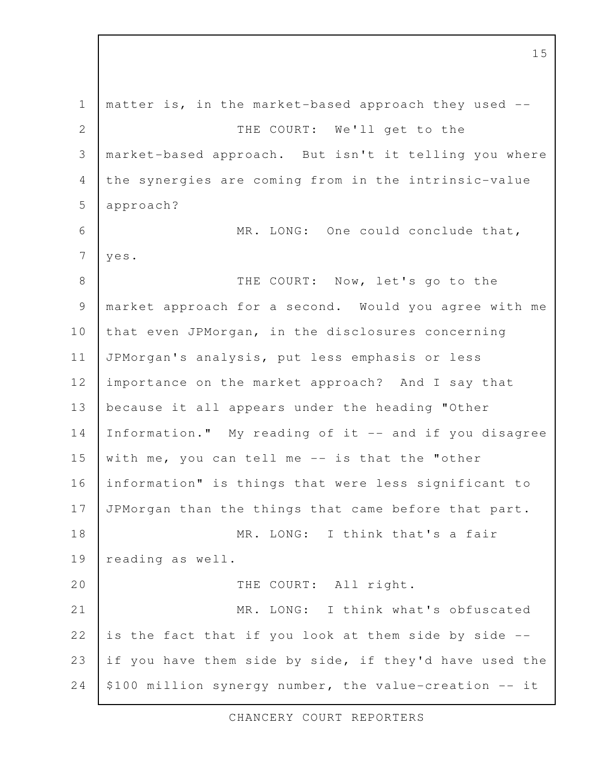matter is, in the market-based approach they used -- THE COURT: We'll get to the market-based approach. But isn't it telling you where the synergies are coming from in the intrinsic-value approach? MR. LONG: One could conclude that, yes. THE COURT: Now, let's go to the market approach for a second. Would you agree with me that even JPMorgan, in the disclosures concerning JPMorgan's analysis, put less emphasis or less importance on the market approach? And I say that because it all appears under the heading "Other Information." My reading of it -- and if you disagree with me, you can tell me -- is that the "other information" is things that were less significant to JPMorgan than the things that came before that part. MR. LONG: I think that's a fair reading as well. THE COURT: All right. MR. LONG: I think what's obfuscated is the fact that if you look at them side by side - if you have them side by side, if they'd have used the \$100 million synergy number, the value-creation -- it 1 2 3 4 5 6 7 8 9 10 11 12 13 14 15 16 17 18 19 20 21 22 23 24

CHANCERY COURT REPORTERS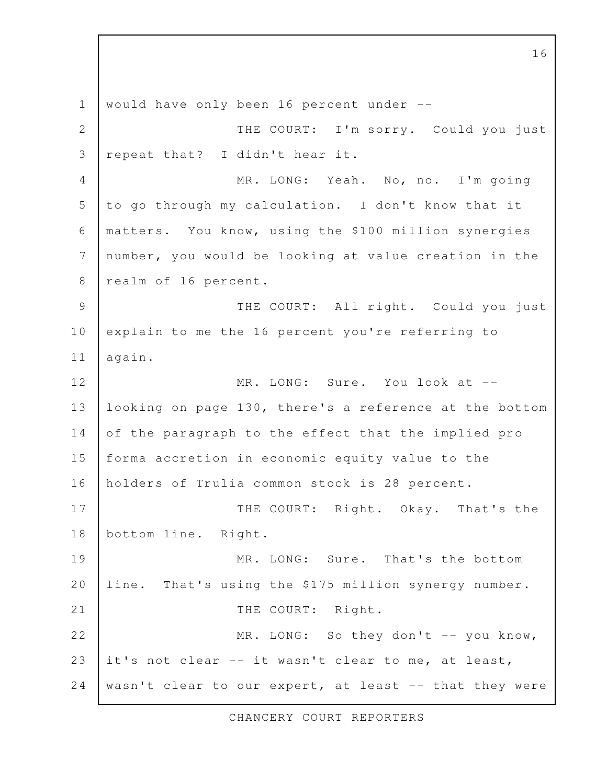would have only been 16 percent under -- THE COURT: I'm sorry. Could you just repeat that? I didn't hear it. MR. LONG: Yeah. No, no. I'm going to go through my calculation. I don't know that it matters. You know, using the \$100 million synergies number, you would be looking at value creation in the realm of 16 percent. THE COURT: All right. Could you just explain to me the 16 percent you're referring to again. MR. LONG: Sure. You look at -looking on page 130, there's a reference at the bottom of the paragraph to the effect that the implied pro forma accretion in economic equity value to the holders of Trulia common stock is 28 percent. THE COURT: Right. Okay. That's the bottom line. Right. MR. LONG: Sure. That's the bottom line. That's using the \$175 million synergy number. THE COURT: Right. MR. LONG: So they don't -- you know, it's not clear -- it wasn't clear to me, at least, wasn't clear to our expert, at least -- that they were 1 2 3 4 5 6 7 8 9 10 11 12 13 14 15 16 17 18 19 20 21 22 23 24

CHANCERY COURT REPORTERS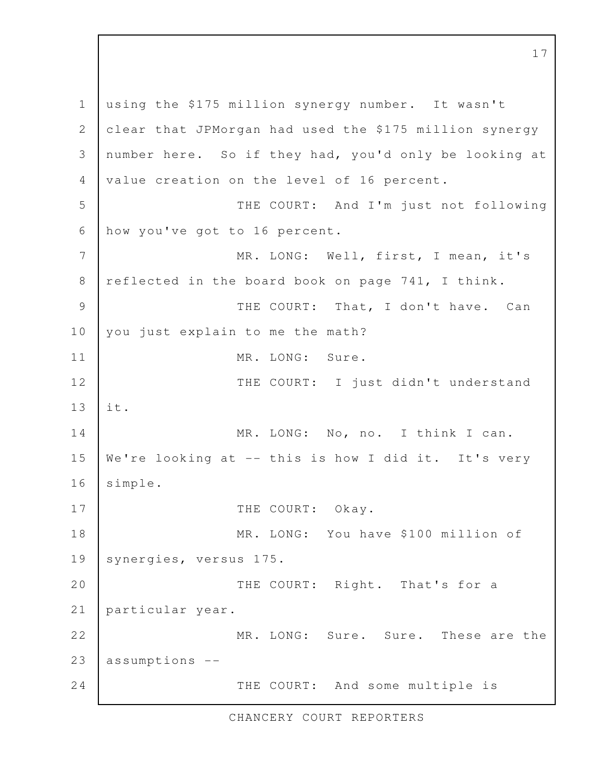using the \$175 million synergy number. It wasn't clear that JPMorgan had used the \$175 million synergy number here. So if they had, you'd only be looking at value creation on the level of 16 percent. THE COURT: And I'm just not following how you've got to 16 percent. MR. LONG: Well, first, I mean, it's reflected in the board book on page 741, I think. THE COURT: That, I don't have. Can you just explain to me the math? MR. LONG: Sure. THE COURT: I just didn't understand it. MR. LONG: No, no. I think I can. We're looking at -- this is how I did it. It's very simple. THE COURT: Okay. MR. LONG: You have \$100 million of synergies, versus 175. THE COURT: Right. That's for a particular year. MR. LONG: Sure. Sure. These are the assumptions -- THE COURT: And some multiple is 1 2 3 4 5 6 7 8 9 10 11 12 13 14 15 16 17 18 19 20 21 22 23 24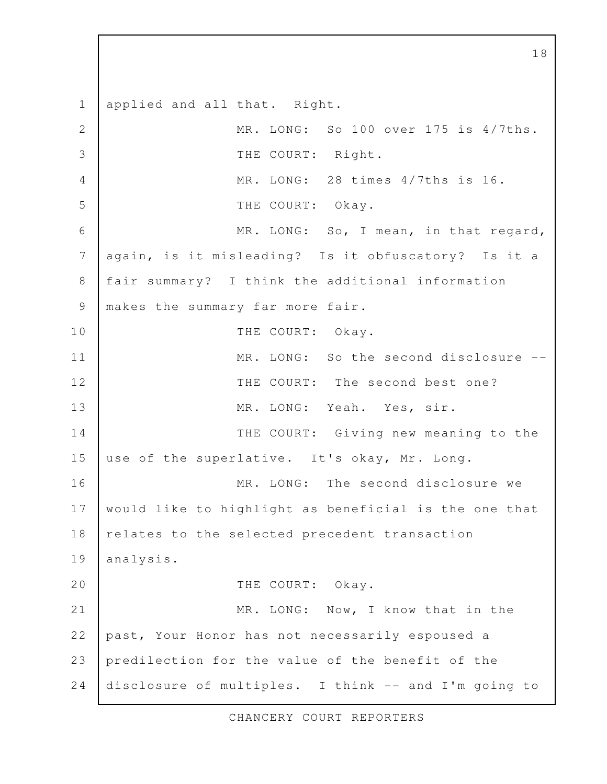applied and all that. Right. MR. LONG: So 100 over 175 is 4/7ths. THE COURT: Right. MR. LONG: 28 times 4/7ths is 16. THE COURT: Okay. MR. LONG: So, I mean, in that regard, again, is it misleading? Is it obfuscatory? Is it a fair summary? I think the additional information makes the summary far more fair. THE COURT: Okay. MR. LONG: So the second disclosure --THE COURT: The second best one? MR. LONG: Yeah. Yes, sir. THE COURT: Giving new meaning to the use of the superlative. It's okay, Mr. Long. MR. LONG: The second disclosure we would like to highlight as beneficial is the one that relates to the selected precedent transaction analysis. THE COURT: Okay. MR. LONG: Now, I know that in the past, Your Honor has not necessarily espoused a predilection for the value of the benefit of the disclosure of multiples. I think -- and I'm going to 1 2 3 4 5 6 7 8 9 10 11 12 13 14 15 16 17 18 19 20 21 22 23 24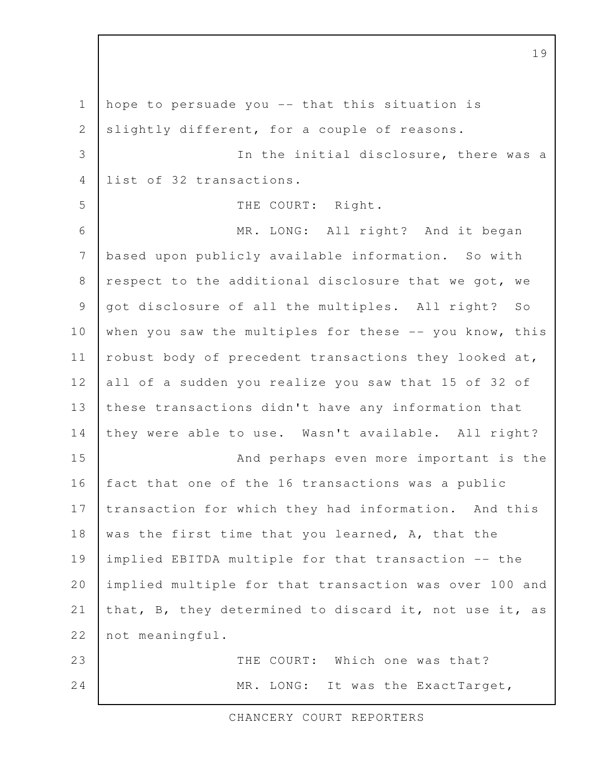hope to persuade you -- that this situation is slightly different, for a couple of reasons. In the initial disclosure, there was a list of 32 transactions. THE COURT: Right. MR. LONG: All right? And it began based upon publicly available information. So with respect to the additional disclosure that we got, we got disclosure of all the multiples. All right? So when you saw the multiples for these -- you know, this robust body of precedent transactions they looked at, all of a sudden you realize you saw that 15 of 32 of these transactions didn't have any information that they were able to use. Wasn't available. All right? And perhaps even more important is the fact that one of the 16 transactions was a public transaction for which they had information. And this was the first time that you learned, A, that the implied EBITDA multiple for that transaction -- the implied multiple for that transaction was over 100 and that, B, they determined to discard it, not use it, as not meaningful. THE COURT: Which one was that? MR. LONG: It was the ExactTarget, 1 2 3 4 5 6 7 8 9 10 11 12 13 14 15 16 17 18 19 20 21 22 23 24

CHANCERY COURT REPORTERS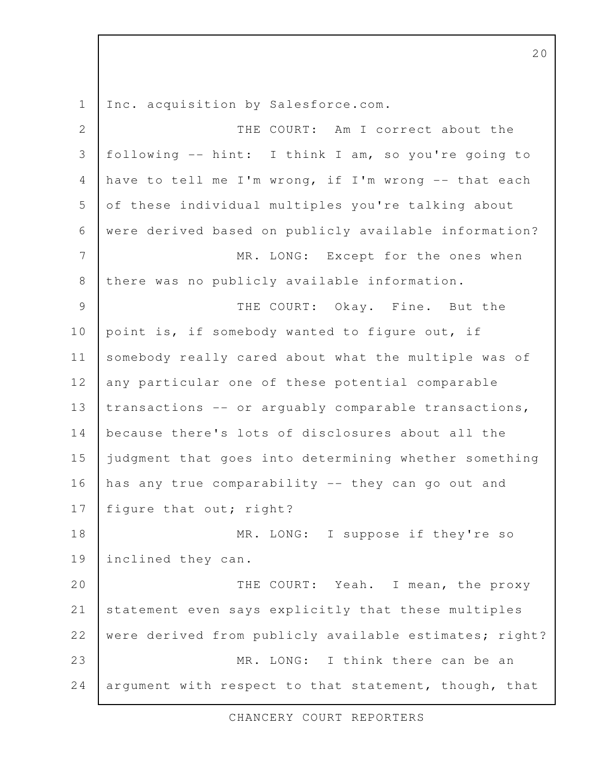Inc. acquisition by Salesforce.com. 1

THE COURT: Am I correct about the following -- hint: I think I am, so you're going to have to tell me I'm wrong, if I'm wrong -- that each of these individual multiples you're talking about were derived based on publicly available information? MR. LONG: Except for the ones when there was no publicly available information. THE COURT: Okay. Fine. But the point is, if somebody wanted to figure out, if somebody really cared about what the multiple was of any particular one of these potential comparable transactions -- or arguably comparable transactions, because there's lots of disclosures about all the judgment that goes into determining whether something has any true comparability -- they can go out and figure that out; right? MR. LONG: I suppose if they're so inclined they can. THE COURT: Yeah. I mean, the proxy statement even says explicitly that these multiples were derived from publicly available estimates; right? MR. LONG: I think there can be an argument with respect to that statement, though, that 2 3 4 5 6 7 8 9 10 11 12 13 14 15 16 17 18 19 20 21 22 23 24

CHANCERY COURT REPORTERS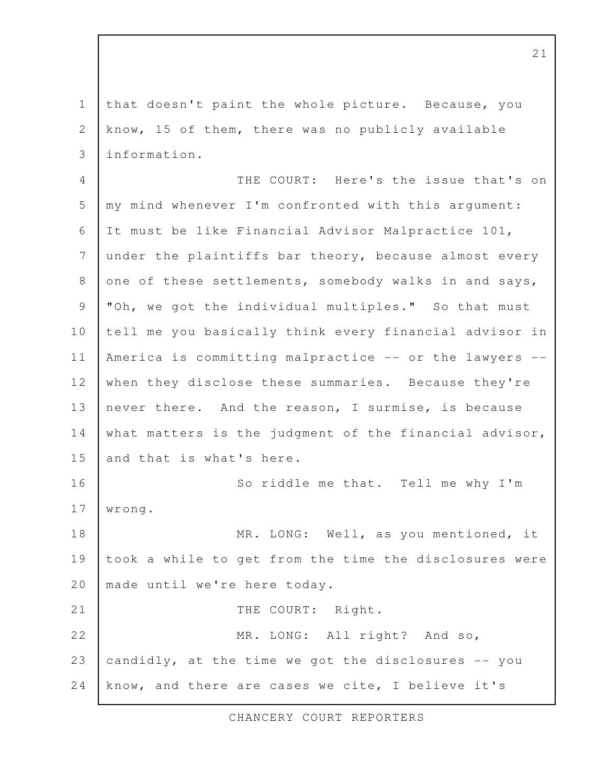that doesn't paint the whole picture. Because, you know, 15 of them, there was no publicly available information. 1 2 3

THE COURT: Here's the issue that's on my mind whenever I'm confronted with this argument: It must be like Financial Advisor Malpractice 101, under the plaintiffs bar theory, because almost every one of these settlements, somebody walks in and says, "Oh, we got the individual multiples." So that must tell me you basically think every financial advisor in America is committing malpractice -- or the lawyers - when they disclose these summaries. Because they're never there. And the reason, I surmise, is because what matters is the judgment of the financial advisor, and that is what's here. So riddle me that. Tell me why I'm wrong. MR. LONG: Well, as you mentioned, it took a while to get from the time the disclosures were made until we're here today. THE COURT: Right. MR. LONG: All right? And so, candidly, at the time we got the disclosures -- you know, and there are cases we cite, I believe it's 4 5 6 7 8 9 10 11 12 13 14 15 16 17 18 19 20 21 22 23 24

CHANCERY COURT REPORTERS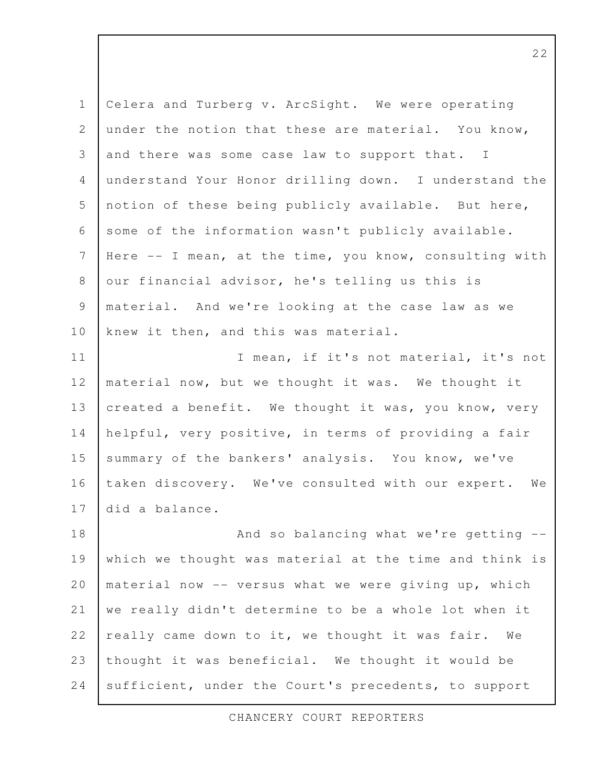Celera and Turberg v. ArcSight. We were operating under the notion that these are material. You know, and there was some case law to support that. I understand Your Honor drilling down. I understand the notion of these being publicly available. But here, some of the information wasn't publicly available. Here -- I mean, at the time, you know, consulting with our financial advisor, he's telling us this is material. And we're looking at the case law as we knew it then, and this was material. I mean, if it's not material, it's not material now, but we thought it was. We thought it created a benefit. We thought it was, you know, very helpful, very positive, in terms of providing a fair summary of the bankers' analysis. You know, we've taken discovery. We've consulted with our expert. We did a balance. And so balancing what we're getting - which we thought was material at the time and think is material now -- versus what we were giving up, which we really didn't determine to be a whole lot when it really came down to it, we thought it was fair. We thought it was beneficial. We thought it would be sufficient, under the Court's precedents, to support 1 2 3 4 5 6 7 8 9 10 11 12 13 14 15 16 17 18 19 20 21 22 23 24

CHANCERY COURT REPORTERS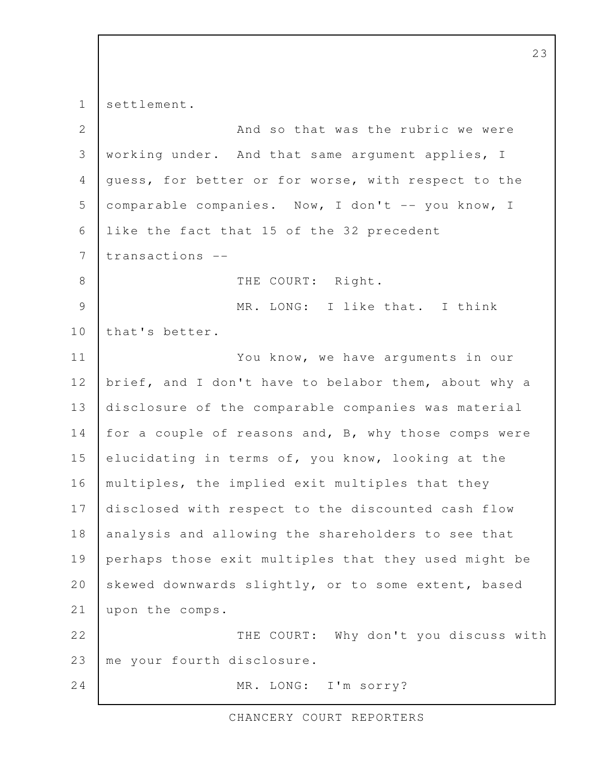settlement. And so that was the rubric we were working under. And that same argument applies, I guess, for better or for worse, with respect to the comparable companies. Now, I don't -- you know, I like the fact that 15 of the 32 precedent transactions -- THE COURT: Right. MR. LONG: I like that. I think that's better. You know, we have arguments in our brief, and I don't have to belabor them, about why a disclosure of the comparable companies was material for a couple of reasons and, B, why those comps were elucidating in terms of, you know, looking at the multiples, the implied exit multiples that they disclosed with respect to the discounted cash flow analysis and allowing the shareholders to see that perhaps those exit multiples that they used might be skewed downwards slightly, or to some extent, based upon the comps. THE COURT: Why don't you discuss with me your fourth disclosure. MR. LONG: I'm sorry? 1 2 3 4 5 6 7 8 9 10 11 12 13 14 15 16 17 18 19 20 21 22 23 24

CHANCERY COURT REPORTERS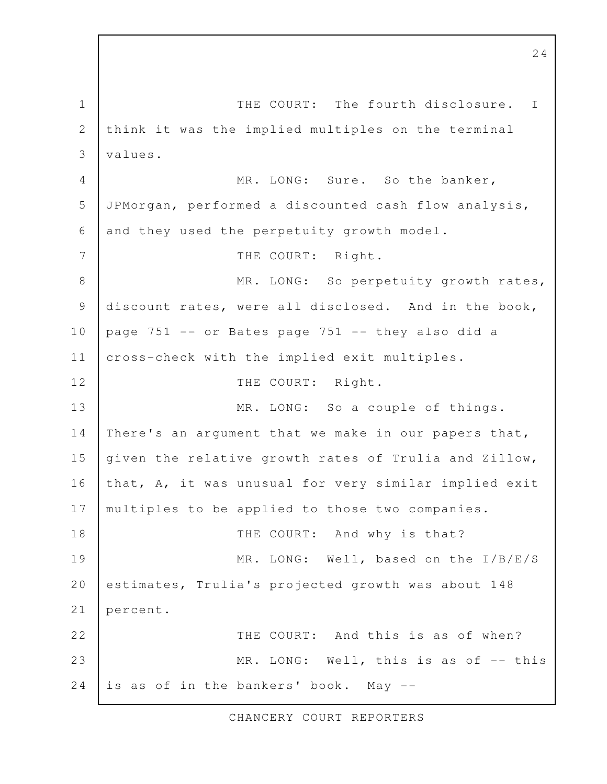THE COURT: The fourth disclosure. I think it was the implied multiples on the terminal values. MR. LONG: Sure. So the banker, JPMorgan, performed a discounted cash flow analysis, and they used the perpetuity growth model. THE COURT: Right. MR. LONG: So perpetuity growth rates, discount rates, were all disclosed. And in the book, page 751 -- or Bates page 751 -- they also did a cross-check with the implied exit multiples. THE COURT: Right. MR. LONG: So a couple of things. There's an argument that we make in our papers that, given the relative growth rates of Trulia and Zillow, that, A, it was unusual for very similar implied exit multiples to be applied to those two companies. THE COURT: And why is that? MR. LONG: Well, based on the I/B/E/S estimates, Trulia's projected growth was about 148 percent. THE COURT: And this is as of when? MR. LONG: Well, this is as of -- this is as of in the bankers' book. May -- 1 2 3 4 5 6 7 8 9 10 11 12 13 14 15 16 17 18 19 20 21 22 23 24

CHANCERY COURT REPORTERS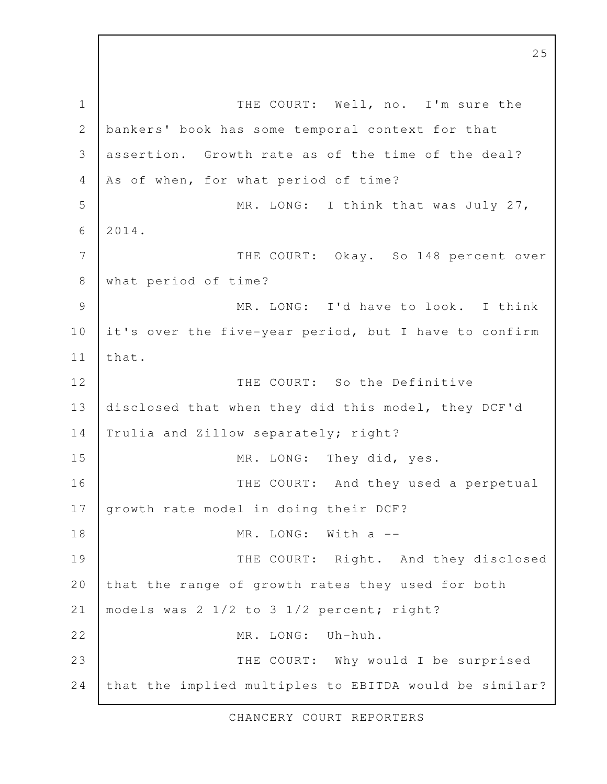THE COURT: Well, no. I'm sure the bankers' book has some temporal context for that assertion. Growth rate as of the time of the deal? As of when, for what period of time? MR. LONG: I think that was July 27, 2014. THE COURT: Okay. So 148 percent over what period of time? MR. LONG: I'd have to look. I think it's over the five-year period, but I have to confirm that. THE COURT: So the Definitive disclosed that when they did this model, they DCF'd Trulia and Zillow separately; right? MR. LONG: They did, yes. THE COURT: And they used a perpetual growth rate model in doing their DCF? MR. LONG: With a --THE COURT: Right. And they disclosed that the range of growth rates they used for both models was 2 1/2 to 3 1/2 percent; right? MR. LONG: Uh-huh. THE COURT: Why would I be surprised that the implied multiples to EBITDA would be similar? 1 2 3 4 5 6 7 8 9 10 11 12 13 14 15 16 17 18 19 20 21 22 23 24

CHANCERY COURT REPORTERS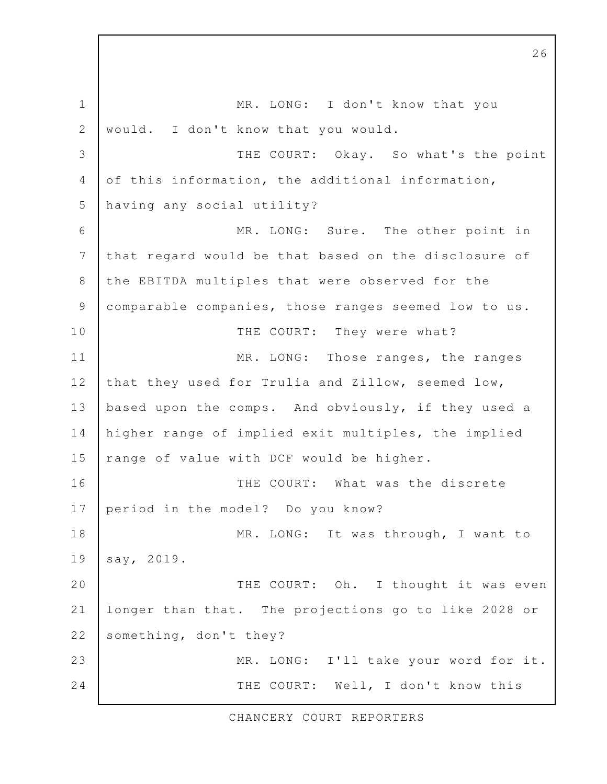MR. LONG: I don't know that you would. I don't know that you would. THE COURT: Okay. So what's the point of this information, the additional information, having any social utility? MR. LONG: Sure. The other point in that regard would be that based on the disclosure of the EBITDA multiples that were observed for the comparable companies, those ranges seemed low to us. THE COURT: They were what? MR. LONG: Those ranges, the ranges that they used for Trulia and Zillow, seemed low, based upon the comps. And obviously, if they used a higher range of implied exit multiples, the implied range of value with DCF would be higher. THE COURT: What was the discrete period in the model? Do you know? MR. LONG: It was through, I want to say, 2019. THE COURT: Oh. I thought it was even longer than that. The projections go to like 2028 or something, don't they? MR. LONG: I'll take your word for it. THE COURT: Well, I don't know this 1 2 3 4 5 6 7 8 9 10 11 12 13 14 15 16 17 18 19 20 21 22 23 24

26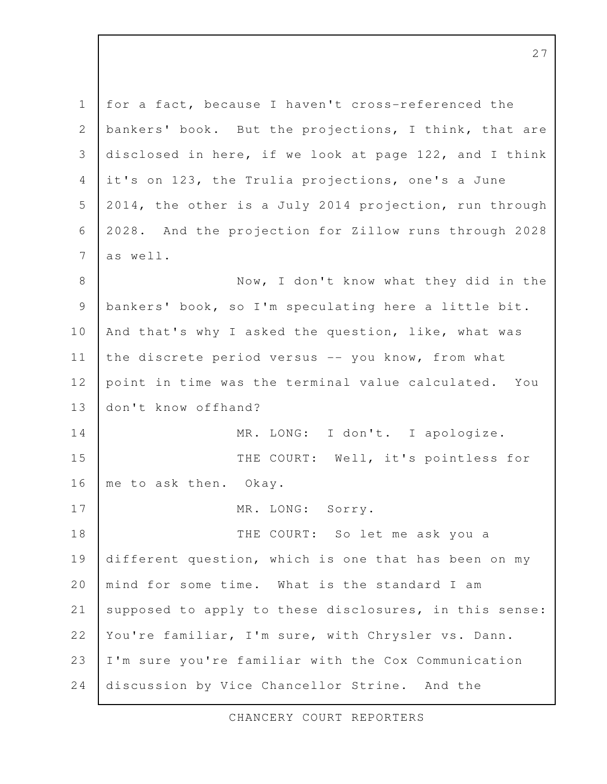for a fact, because I haven't cross-referenced the bankers' book. But the projections, I think, that are disclosed in here, if we look at page 122, and I think it's on 123, the Trulia projections, one's a June 2014, the other is a July 2014 projection, run through 2028. And the projection for Zillow runs through 2028 as well. Now, I don't know what they did in the bankers' book, so I'm speculating here a little bit. And that's why I asked the question, like, what was the discrete period versus -- you know, from what point in time was the terminal value calculated. You don't know offhand? MR. LONG: I don't. I apologize. THE COURT: Well, it's pointless for me to ask then. Okay. MR. LONG: Sorry. THE COURT: So let me ask you a different question, which is one that has been on my mind for some time. What is the standard I am supposed to apply to these disclosures, in this sense: You're familiar, I'm sure, with Chrysler vs. Dann. I'm sure you're familiar with the Cox Communication discussion by Vice Chancellor Strine. And the 1 2 3 4 5 6 7 8 9 10 11 12 13 14 15 16 17 18 19 20 21 22 23 24

CHANCERY COURT REPORTERS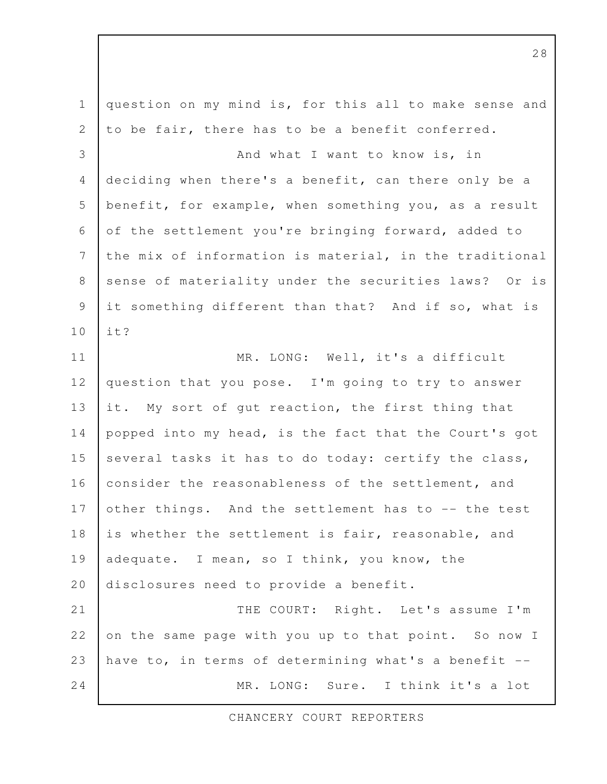| $\mathbf 1$    | question on my mind is, for this all to make sense and |
|----------------|--------------------------------------------------------|
| 2              | to be fair, there has to be a benefit conferred.       |
| 3              | And what I want to know is, in                         |
| 4              | deciding when there's a benefit, can there only be a   |
| 5              | benefit, for example, when something you, as a result  |
| 6              | of the settlement you're bringing forward, added to    |
| 7              | the mix of information is material, in the traditional |
| 8              | sense of materiality under the securities laws? Or is  |
| $\overline{9}$ | it something different than that? And if so, what is   |
| 10             | it?                                                    |
| 11             | MR. LONG: Well, it's a difficult                       |
| 12             | question that you pose. I'm going to try to answer     |
| 13             | it. My sort of gut reaction, the first thing that      |
| 14             | popped into my head, is the fact that the Court's got  |
| 15             | several tasks it has to do today: certify the class,   |
| 16             | consider the reasonableness of the settlement, and     |
| 17             | other things. And the settlement has to -- the test    |
| 18             | is whether the settlement is fair, reasonable, and     |
| 19             | adequate. I mean, so I think, you know, the            |
| 20             | disclosures need to provide a benefit.                 |
| 21             | THE COURT: Right. Let's assume I'm                     |
| 22             | on the same page with you up to that point. So now I   |
| 23             | have to, in terms of determining what's a benefit --   |
| 24             | MR. LONG: Sure. I think it's a lot                     |

CHANCERY COURT REPORTERS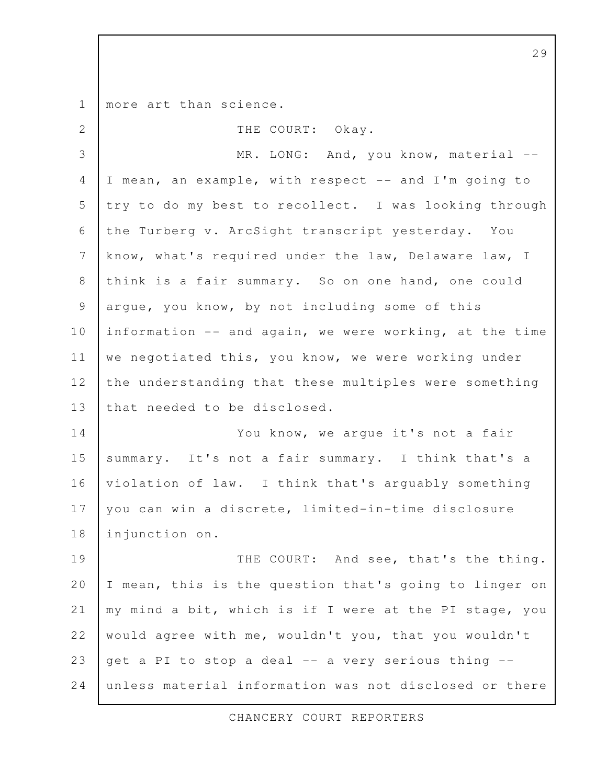more art than science. THE COURT: Okay. MR. LONG: And, you know, material --I mean, an example, with respect -- and I'm going to try to do my best to recollect. I was looking through the Turberg v. ArcSight transcript yesterday. You know, what's required under the law, Delaware law, I think is a fair summary. So on one hand, one could argue, you know, by not including some of this information -- and again, we were working, at the time we negotiated this, you know, we were working under the understanding that these multiples were something that needed to be disclosed. You know, we argue it's not a fair summary. It's not a fair summary. I think that's a violation of law. I think that's arguably something you can win a discrete, limited-in-time disclosure injunction on. THE COURT: And see, that's the thing. I mean, this is the question that's going to linger on my mind a bit, which is if I were at the PI stage, you would agree with me, wouldn't you, that you wouldn't get a PI to stop a deal -- a very serious thing - unless material information was not disclosed or there 1 2 3 4 5 6 7 8 9 10 11 12 13 14 15 16 17 18 19 20 21 22 23 24

CHANCERY COURT REPORTERS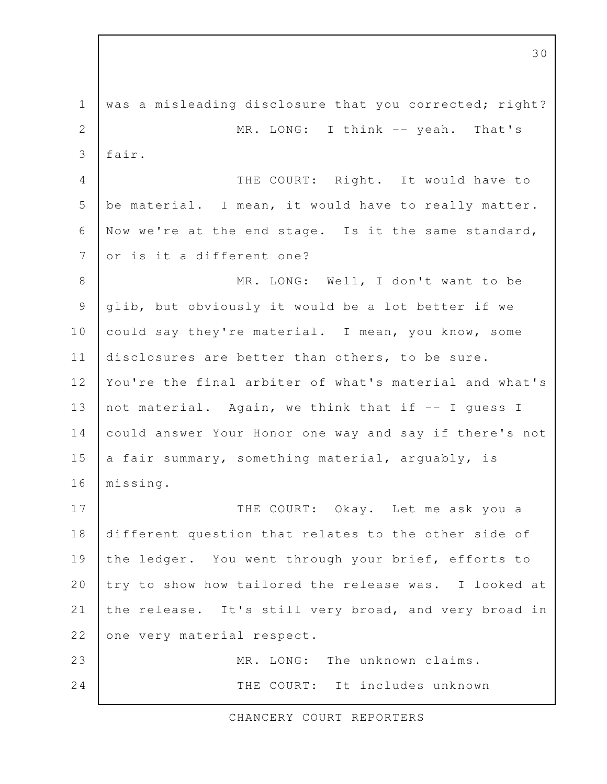was a misleading disclosure that you corrected; right? MR. LONG: I think -- yeah. That's fair. THE COURT: Right. It would have to be material. I mean, it would have to really matter. Now we're at the end stage. Is it the same standard, or is it a different one? MR. LONG: Well, I don't want to be glib, but obviously it would be a lot better if we could say they're material. I mean, you know, some disclosures are better than others, to be sure. You're the final arbiter of what's material and what's not material. Again, we think that if -- I guess I could answer Your Honor one way and say if there's not a fair summary, something material, arguably, is missing. THE COURT: Okay. Let me ask you a different question that relates to the other side of the ledger. You went through your brief, efforts to try to show how tailored the release was. I looked at the release. It's still very broad, and very broad in one very material respect. MR. LONG: The unknown claims. THE COURT: It includes unknown 1 2 3 4 5 6 7 8 9 10 11 12 13 14 15 16 17 18 19 20 21 22 23 24

CHANCERY COURT REPORTERS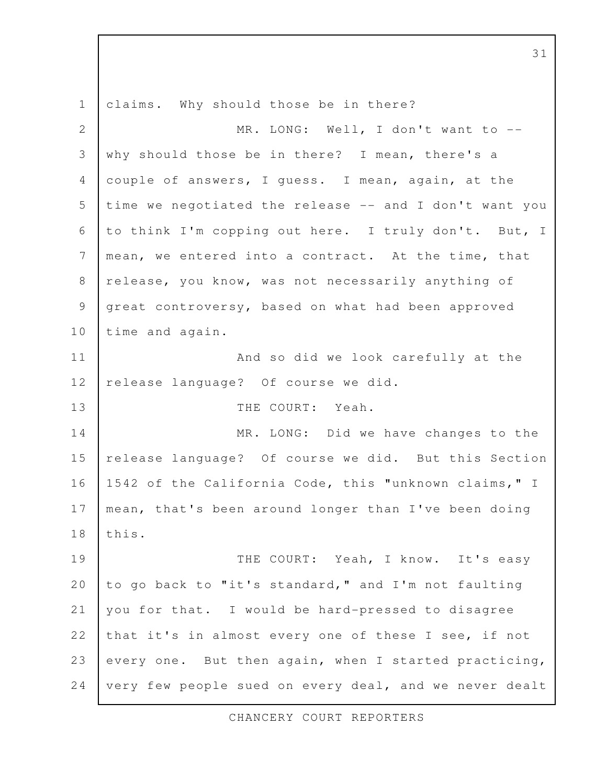claims. Why should those be in there? MR. LONG: Well, I don't want to -why should those be in there? I mean, there's a couple of answers, I guess. I mean, again, at the time we negotiated the release -- and I don't want you to think I'm copping out here. I truly don't. But, I mean, we entered into a contract. At the time, that release, you know, was not necessarily anything of great controversy, based on what had been approved time and again. And so did we look carefully at the release language? Of course we did. THE COURT: Yeah. MR. LONG: Did we have changes to the release language? Of course we did. But this Section 1542 of the California Code, this "unknown claims," I mean, that's been around longer than I've been doing this. THE COURT: Yeah, I know. It's easy to go back to "it's standard," and I'm not faulting you for that. I would be hard-pressed to disagree that it's in almost every one of these I see, if not every one. But then again, when I started practicing, very few people sued on every deal, and we never dealt 1 2 3 4 5 6 7 8 9 10 11 12 13 14 15 16 17 18 19 20 21 22 23 24

CHANCERY COURT REPORTERS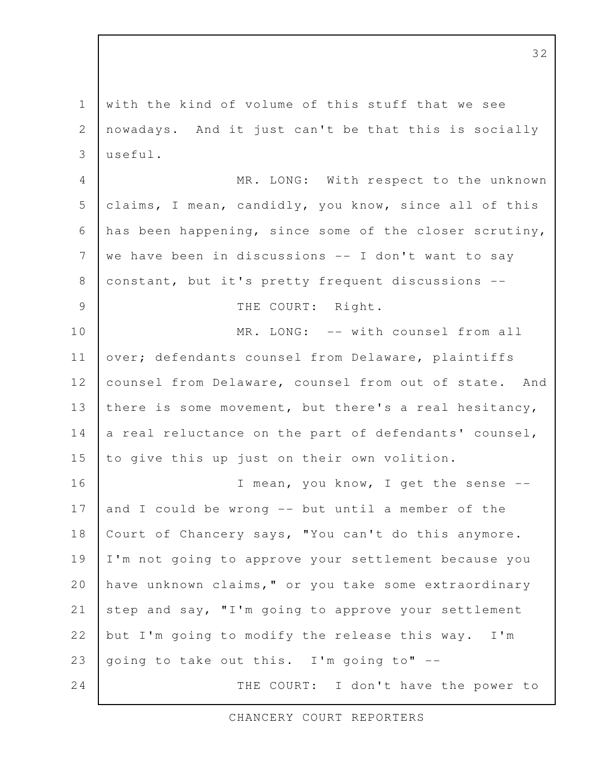with the kind of volume of this stuff that we see nowadays. And it just can't be that this is socially  $useful.$ MR. LONG: With respect to the unknown claims, I mean, candidly, you know, since all of this has been happening, since some of the closer scrutiny, we have been in discussions -- I don't want to say constant, but it's pretty frequent discussions -- THE COURT: Right. MR. LONG: -- with counsel from all over; defendants counsel from Delaware, plaintiffs counsel from Delaware, counsel from out of state. And there is some movement, but there's a real hesitancy, a real reluctance on the part of defendants' counsel, to give this up just on their own volition. I mean, you know, I get the sense - and I could be wrong -- but until a member of the Court of Chancery says, "You can't do this anymore. I'm not going to approve your settlement because you have unknown claims," or you take some extraordinary step and say, "I'm going to approve your settlement but I'm going to modify the release this way. I'm going to take out this. I'm going to" -- THE COURT: I don't have the power to 1 2 3 4 5 6 7 8 9 10 11 12 13 14 15 16 17 18 19 20 21 22 23 24

CHANCERY COURT REPORTERS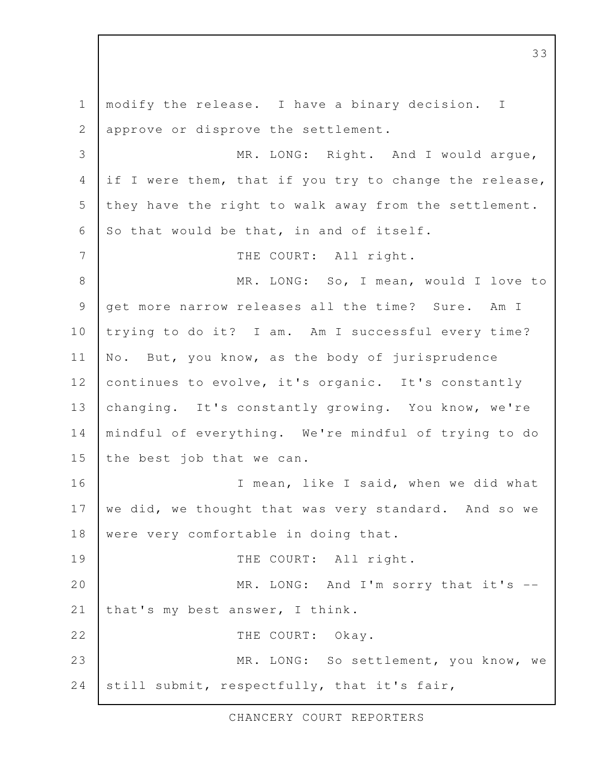modify the release. I have a binary decision. I approve or disprove the settlement. MR. LONG: Right. And I would argue, if I were them, that if you try to change the release, they have the right to walk away from the settlement. So that would be that, in and of itself. THE COURT: All right. MR. LONG: So, I mean, would I love to get more narrow releases all the time? Sure. Am I trying to do it? I am. Am I successful every time? No. But, you know, as the body of jurisprudence continues to evolve, it's organic. It's constantly changing. It's constantly growing. You know, we're mindful of everything. We're mindful of trying to do the best job that we can. I mean, like I said, when we did what we did, we thought that was very standard. And so we were very comfortable in doing that. THE COURT: All right. MR. LONG: And I'm sorry that it's -that's my best answer, I think. THE COURT: Okay. MR. LONG: So settlement, you know, we still submit, respectfully, that it's fair, 1 2 3 4 5 6 7 8 9 10 11 12 13 14 15 16 17 18 19 20 21 22 23 24

CHANCERY COURT REPORTERS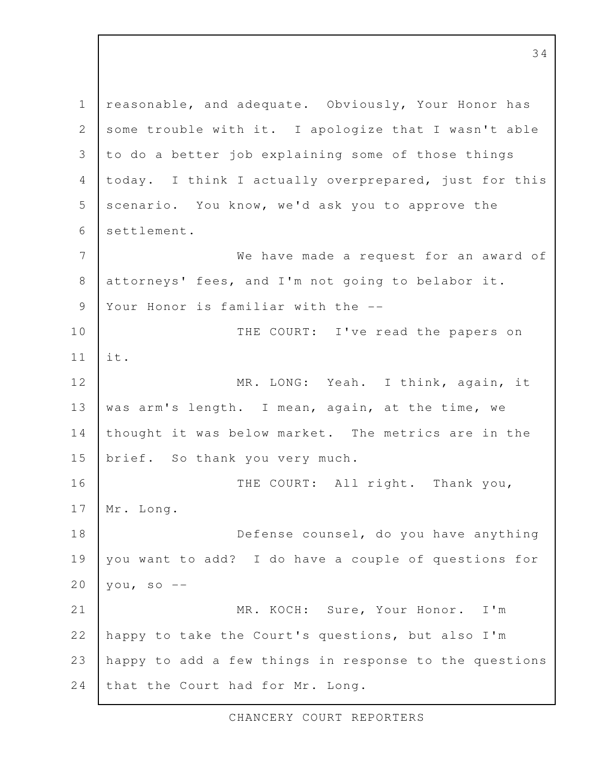reasonable, and adequate. Obviously, Your Honor has some trouble with it. I apologize that I wasn't able to do a better job explaining some of those things today. I think I actually overprepared, just for this scenario. You know, we'd ask you to approve the settlement. We have made a request for an award of attorneys' fees, and I'm not going to belabor it. Your Honor is familiar with the --THE COURT: I've read the papers on it. MR. LONG: Yeah. I think, again, it was arm's length. I mean, again, at the time, we thought it was below market. The metrics are in the brief. So thank you very much. THE COURT: All right. Thank you, Mr. Long. Defense counsel, do you have anything you want to add? I do have a couple of questions for you, so  $--$ MR. KOCH: Sure, Your Honor. I'm happy to take the Court's questions, but also I'm happy to add a few things in response to the questions that the Court had for Mr. Long. 1 2 3 4 5 6 7 8 9 10 11 12 13 14 15 16 17 18 19 20 21 22 23 24

CHANCERY COURT REPORTERS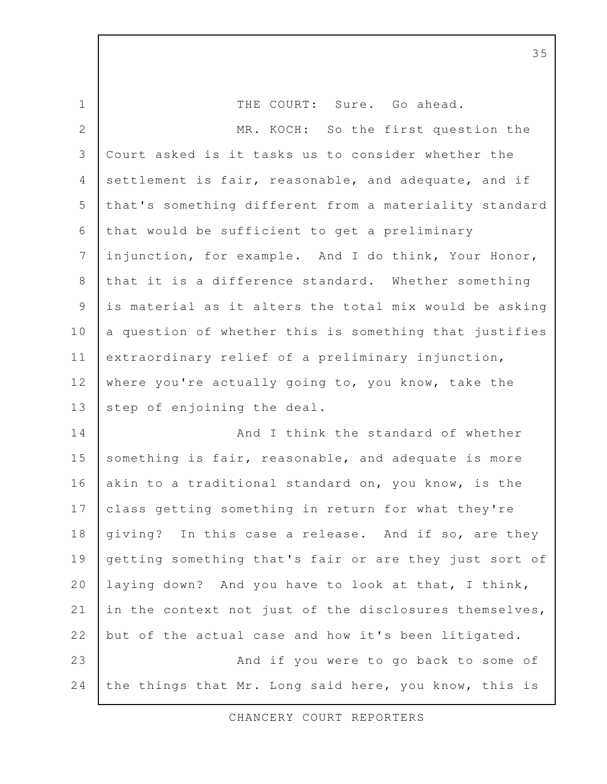THE COURT: Sure. Go ahead. MR. KOCH: So the first question the Court asked is it tasks us to consider whether the settlement is fair, reasonable, and adequate, and if that's something different from a materiality standard that would be sufficient to get a preliminary injunction, for example. And I do think, Your Honor, that it is a difference standard. Whether something is material as it alters the total mix would be asking a question of whether this is something that justifies extraordinary relief of a preliminary injunction, where you're actually going to, you know, take the step of enjoining the deal. And I think the standard of whether something is fair, reasonable, and adequate is more akin to a traditional standard on, you know, is the class getting something in return for what they're giving? In this case a release. And if so, are they getting something that's fair or are they just sort of laying down? And you have to look at that, I think, in the context not just of the disclosures themselves, but of the actual case and how it's been litigated. And if you were to go back to some of the things that Mr. Long said here, you know, this is 1 2 3 4 5 6 7 8 9 10 11 12 13 14 15 16 17 18 19 20 21 22 23 24

CHANCERY COURT REPORTERS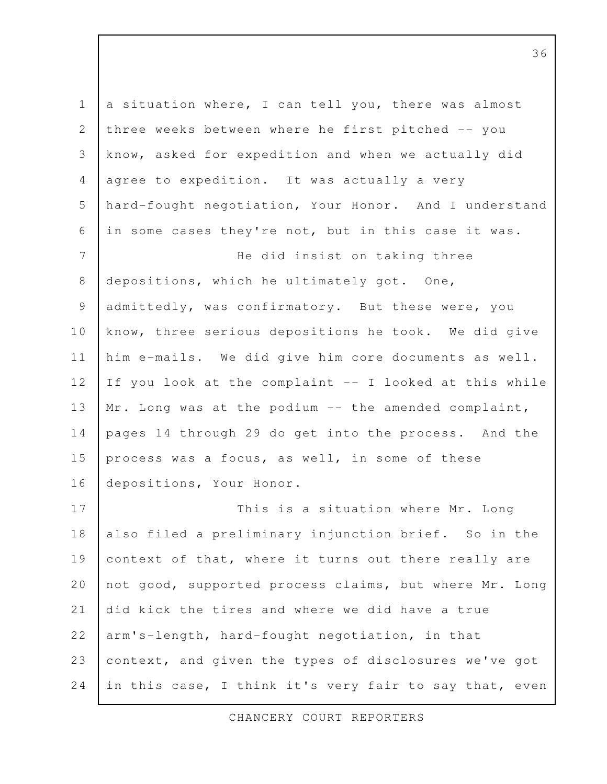a situation where, I can tell you, there was almost three weeks between where he first pitched -- you know, asked for expedition and when we actually did agree to expedition. It was actually a very hard-fought negotiation, Your Honor. And I understand in some cases they're not, but in this case it was. He did insist on taking three depositions, which he ultimately got. One, admittedly, was confirmatory. But these were, you know, three serious depositions he took. We did give him e-mails. We did give him core documents as well. If you look at the complaint -- I looked at this while Mr. Long was at the podium -- the amended complaint, pages 14 through 29 do get into the process. And the process was a focus, as well, in some of these depositions, Your Honor. This is a situation where Mr. Long also filed a preliminary injunction brief. So in the context of that, where it turns out there really are not good, supported process claims, but where Mr. Long did kick the tires and where we did have a true arm's-length, hard-fought negotiation, in that context, and given the types of disclosures we've got in this case, I think it's very fair to say that, even 1 2 3 4 5 6 7 8 9 10 11 12 13 14 15 16 17 18 19 20 21 22 23 24

CHANCERY COURT REPORTERS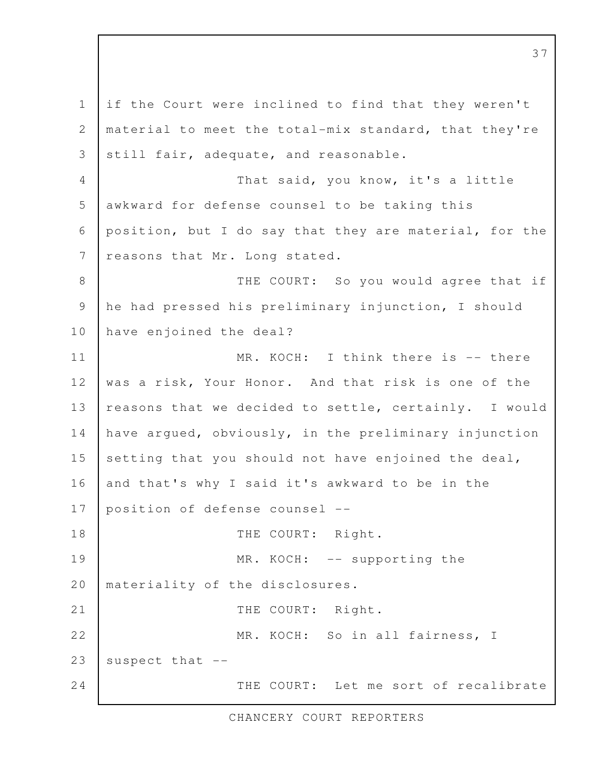if the Court were inclined to find that they weren't material to meet the total-mix standard, that they're still fair, adequate, and reasonable. That said, you know, it's a little awkward for defense counsel to be taking this position, but I do say that they are material, for the reasons that Mr. Long stated. THE COURT: So you would agree that if he had pressed his preliminary injunction, I should have enjoined the deal? MR. KOCH: I think there is -- there was a risk, Your Honor. And that risk is one of the reasons that we decided to settle, certainly. I would have argued, obviously, in the preliminary injunction setting that you should not have enjoined the deal, and that's why I said it's awkward to be in the position of defense counsel -- THE COURT: Right. MR. KOCH: -- supporting the materiality of the disclosures. THE COURT: Right. MR. KOCH: So in all fairness, I suspect that -- THE COURT: Let me sort of recalibrate 1 2 3 4 5 6 7 8 9 10 11 12 13 14 15 16 17 18 19 20 21 22 23 24

CHANCERY COURT REPORTERS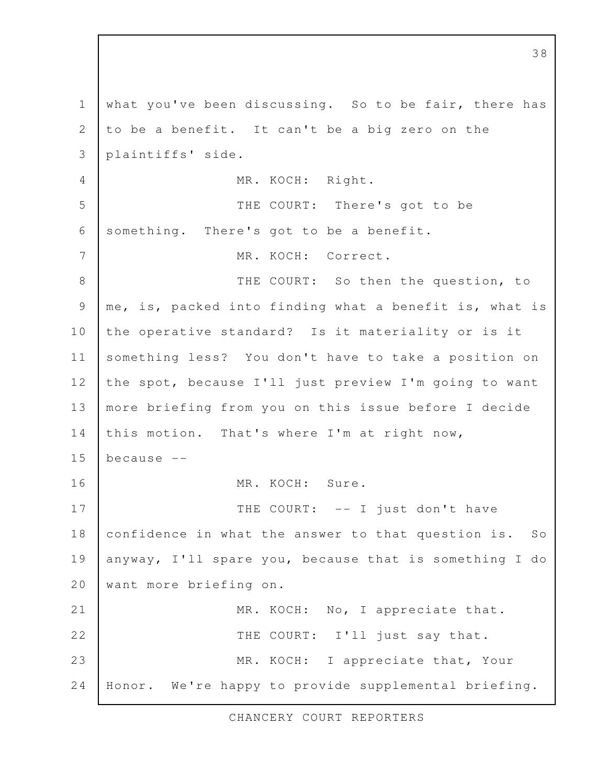what you've been discussing. So to be fair, there has to be a benefit. It can't be a big zero on the plaintiffs' side. MR. KOCH: Right. THE COURT: There's got to be something. There's got to be a benefit. MR. KOCH: Correct. THE COURT: So then the question, to me, is, packed into finding what a benefit is, what is the operative standard? Is it materiality or is it something less? You don't have to take a position on the spot, because I'll just preview I'm going to want more briefing from you on this issue before I decide this motion. That's where I'm at right now, because -- MR. KOCH: Sure. THE COURT: -- I just don't have confidence in what the answer to that question is. So anyway, I'll spare you, because that is something I do want more briefing on. MR. KOCH: No, I appreciate that. THE COURT: I'll just say that. MR. KOCH: I appreciate that, Your Honor. We're happy to provide supplemental briefing. 1 2 3 4 5 6 7 8 9 10 11 12 13 14 15 16 17 18 19 20 21 22 23 24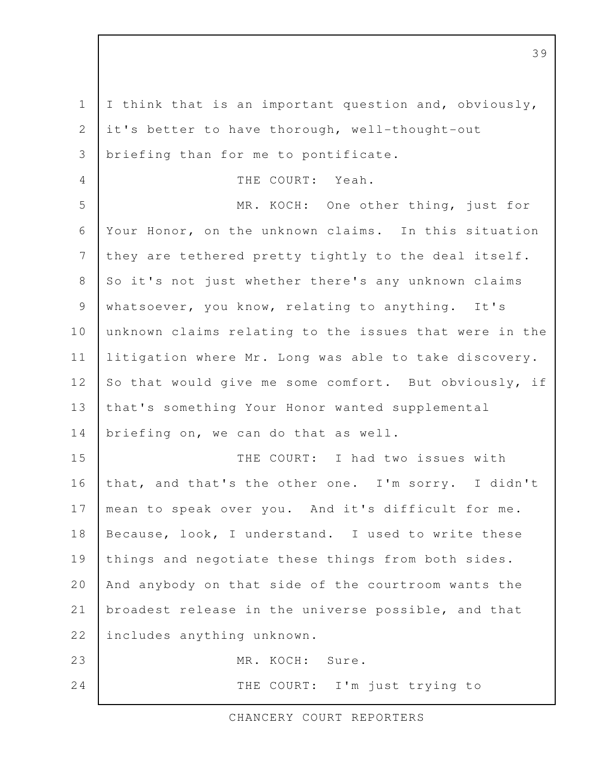I think that is an important question and, obviously, it's better to have thorough, well-thought-out briefing than for me to pontificate. THE COURT: Yeah. MR. KOCH: One other thing, just for Your Honor, on the unknown claims. In this situation they are tethered pretty tightly to the deal itself. So it's not just whether there's any unknown claims whatsoever, you know, relating to anything. It's unknown claims relating to the issues that were in the litigation where Mr. Long was able to take discovery. So that would give me some comfort. But obviously, if that's something Your Honor wanted supplemental briefing on, we can do that as well. THE COURT: I had two issues with that, and that's the other one. I'm sorry. I didn't mean to speak over you. And it's difficult for me. Because, look, I understand. I used to write these things and negotiate these things from both sides. And anybody on that side of the courtroom wants the broadest release in the universe possible, and that includes anything unknown. MR. KOCH: Sure. THE COURT: I'm just trying to 1 2 3 4 5 6 7 8 9 10 11 12 13 14 15 16 17 18 19 20 21 22 23 24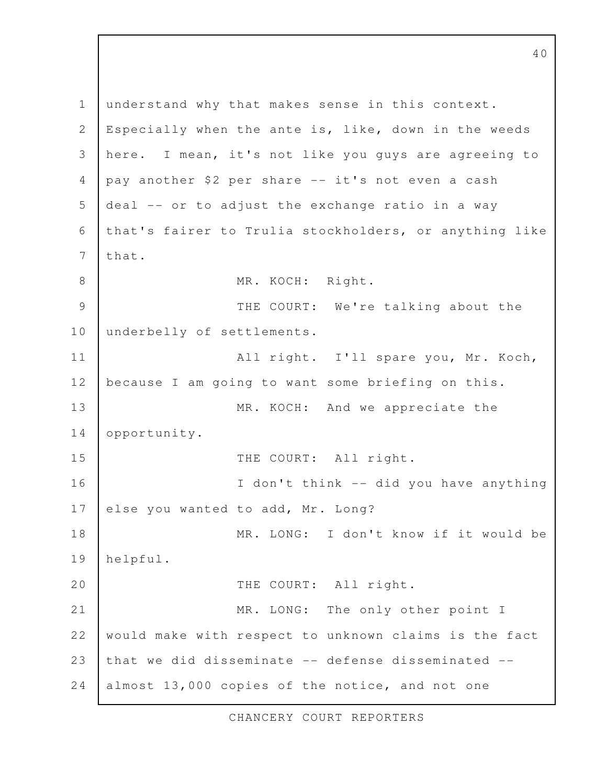understand why that makes sense in this context. Especially when the ante is, like, down in the weeds here. I mean, it's not like you guys are agreeing to pay another \$2 per share -- it's not even a cash deal -- or to adjust the exchange ratio in a way that's fairer to Trulia stockholders, or anything like that. MR. KOCH: Right. THE COURT: We're talking about the underbelly of settlements. All right. I'll spare you, Mr. Koch, because I am going to want some briefing on this. MR. KOCH: And we appreciate the opportunity. THE COURT: All right. I don't think -- did you have anything else you wanted to add, Mr. Long? MR. LONG: I don't know if it would be helpful. THE COURT: All right. MR. LONG: The only other point I would make with respect to unknown claims is the fact that we did disseminate -- defense disseminated - almost 13,000 copies of the notice, and not one 1 2 3 4 5 6 7 8 9 10 11 12 13 14 15 16 17 18 19 20 21 22 23 24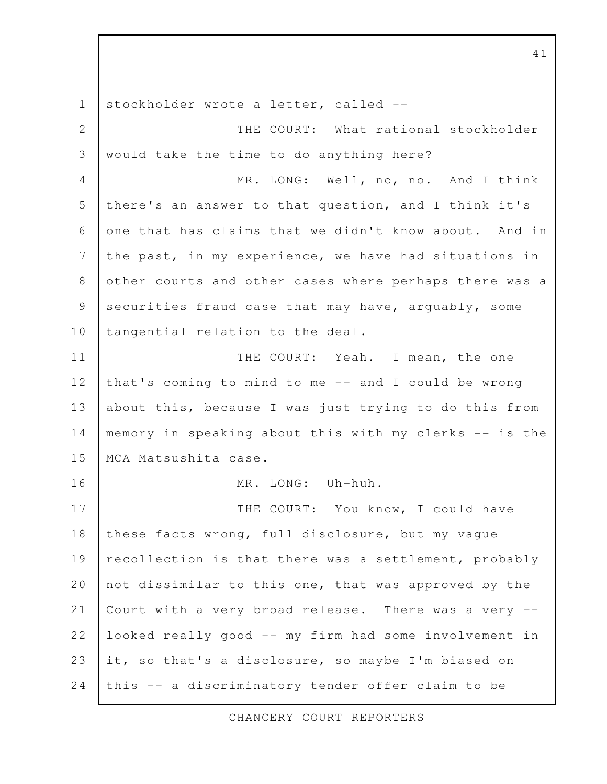stockholder wrote a letter, called -- THE COURT: What rational stockholder would take the time to do anything here? MR. LONG: Well, no, no. And I think there's an answer to that question, and I think it's one that has claims that we didn't know about. And in the past, in my experience, we have had situations in other courts and other cases where perhaps there was a securities fraud case that may have, arguably, some tangential relation to the deal. THE COURT: Yeah. I mean, the one that's coming to mind to me -- and I could be wrong about this, because I was just trying to do this from memory in speaking about this with my clerks -- is the MCA Matsushita case. MR. LONG: Uh-huh. THE COURT: You know, I could have these facts wrong, full disclosure, but my vague recollection is that there was a settlement, probably not dissimilar to this one, that was approved by the Court with a very broad release. There was a very - looked really good -- my firm had some involvement in it, so that's a disclosure, so maybe I'm biased on this -- a discriminatory tender offer claim to be 1 2 3 4 5 6 7 8 9 10 11 12 13 14 15 16 17 18 19 20 21 22 23 24

CHANCERY COURT REPORTERS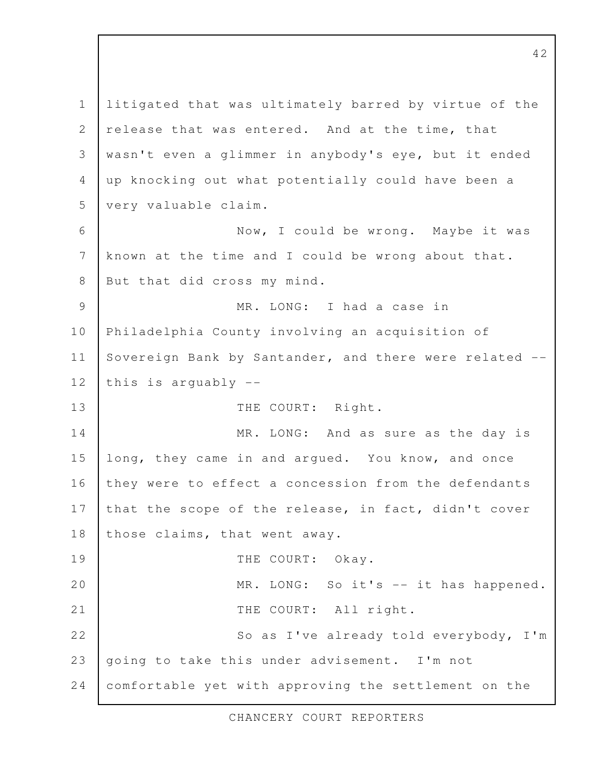litigated that was ultimately barred by virtue of the release that was entered. And at the time, that wasn't even a glimmer in anybody's eye, but it ended up knocking out what potentially could have been a very valuable claim. Now, I could be wrong. Maybe it was known at the time and I could be wrong about that. But that did cross my mind. MR. LONG: I had a case in Philadelphia County involving an acquisition of Sovereign Bank by Santander, and there were related - this is arguably -- THE COURT: Right. MR. LONG: And as sure as the day is long, they came in and argued. You know, and once they were to effect a concession from the defendants that the scope of the release, in fact, didn't cover those claims, that went away. THE COURT: Okay. MR. LONG: So it's -- it has happened. THE COURT: All right. So as I've already told everybody, I'm going to take this under advisement. I'm not comfortable yet with approving the settlement on the 1 2 3 4 5 6 7 8 9 10 11 12 13 14 15 16 17 18 19 20 21 22 23 24

CHANCERY COURT REPORTERS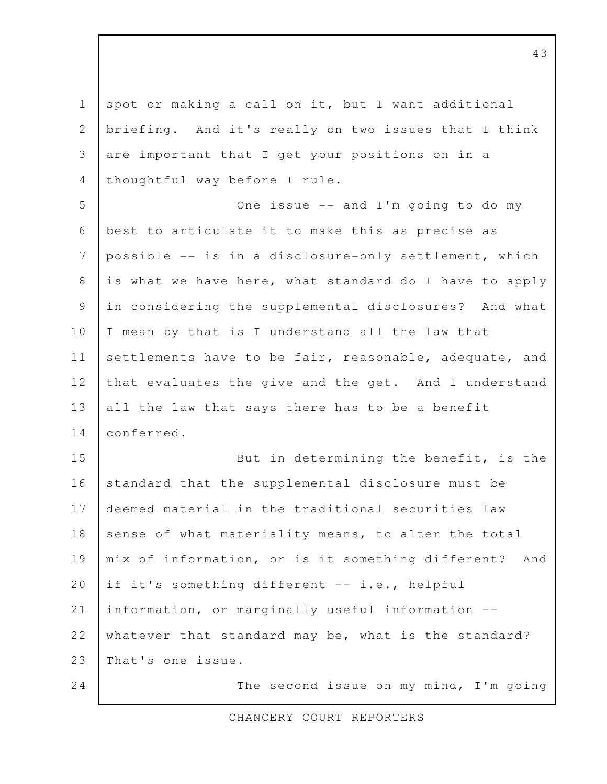spot or making a call on it, but I want additional briefing. And it's really on two issues that I think are important that I get your positions on in a thoughtful way before I rule. One issue -- and I'm going to do my best to articulate it to make this as precise as possible -- is in a disclosure-only settlement, which is what we have here, what standard do I have to apply in considering the supplemental disclosures? And what I mean by that is I understand all the law that settlements have to be fair, reasonable, adequate, and that evaluates the give and the get. And I understand all the law that says there has to be a benefit conferred. But in determining the benefit, is the standard that the supplemental disclosure must be deemed material in the traditional securities law sense of what materiality means, to alter the total mix of information, or is it something different? And if it's something different -- i.e., helpful information, or marginally useful information - whatever that standard may be, what is the standard? That's one issue. The second issue on my mind, I'm going 1 2 3 4 5 6 7 8 9 10 11 12 13 14 15 16 17 18 19 20 21 22 23 24

CHANCERY COURT REPORTERS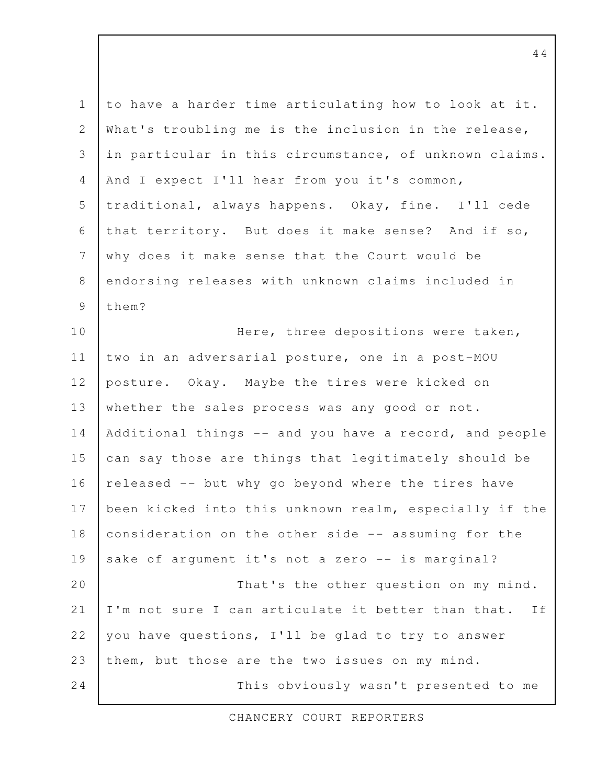to have a harder time articulating how to look at it. What's troubling me is the inclusion in the release, in particular in this circumstance, of unknown claims. And I expect I'll hear from you it's common, traditional, always happens. Okay, fine. I'll cede that territory. But does it make sense? And if so, why does it make sense that the Court would be endorsing releases with unknown claims included in them? Here, three depositions were taken, two in an adversarial posture, one in a post-MOU posture. Okay. Maybe the tires were kicked on whether the sales process was any good or not. Additional things -- and you have a record, and people can say those are things that legitimately should be released -- but why go beyond where the tires have been kicked into this unknown realm, especially if the consideration on the other side -- assuming for the sake of argument it's not a zero -- is marginal? That's the other question on my mind. I'm not sure I can articulate it better than that. If you have questions, I'll be glad to try to answer them, but those are the two issues on my mind. This obviously wasn't presented to me 1 2 3 4 5 6 7 8 9 10 11 12 13 14 15 16 17 18 19 20 21 22 23 24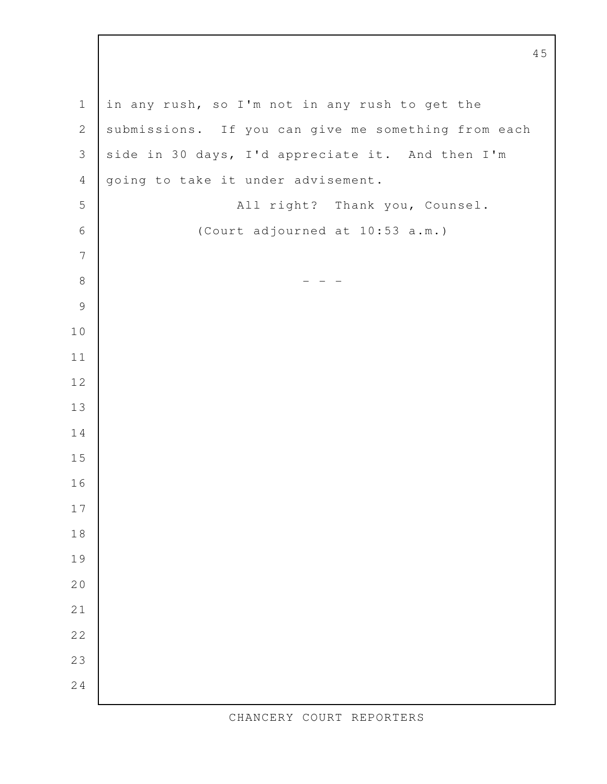in any rush, so I'm not in any rush to get the submissions. If you can give me something from each side in 30 days, I'd appreciate it. And then I'm going to take it under advisement. All right? Thank you, Counsel. (Court adjourned at 10:53 a.m.) - - -